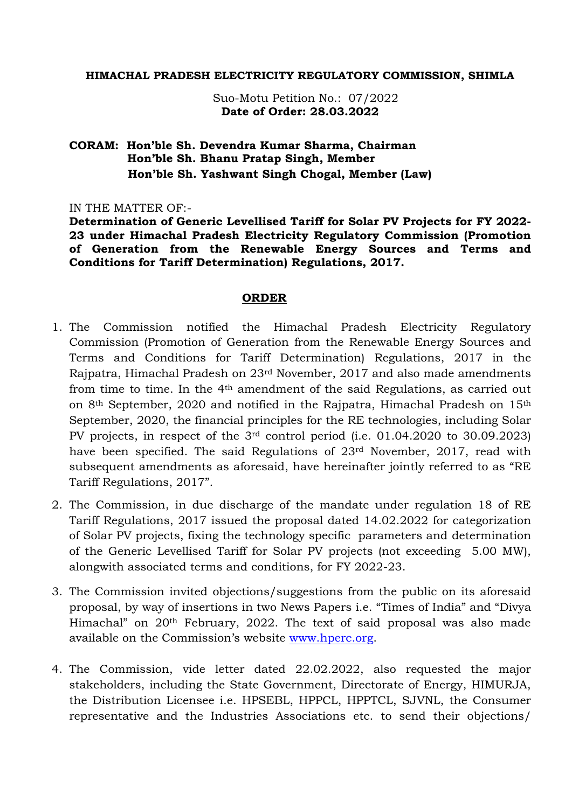#### **HIMACHAL PRADESH ELECTRICITY REGULATORY COMMISSION, SHIMLA**

 Suo-Motu Petition No.: 07/2022 **Date of Order: 28.03.2022**

### **CORAM: Hon'ble Sh. Devendra Kumar Sharma, Chairman Hon'ble Sh. Bhanu Pratap Singh, Member Hon'ble Sh. Yashwant Singh Chogal, Member (Law)**

IN THE MATTER OF:-

**Determination of Generic Levellised Tariff for Solar PV Projects for FY 2022- 23 under Himachal Pradesh Electricity Regulatory Commission (Promotion of Generation from the Renewable Energy Sources and Terms and Conditions for Tariff Determination) Regulations, 2017.**

#### **ORDER**

- 1. The Commission notified the Himachal Pradesh Electricity Regulatory Commission (Promotion of Generation from the Renewable Energy Sources and Terms and Conditions for Tariff Determination) Regulations, 2017 in the Rajpatra, Himachal Pradesh on 23rd November, 2017 and also made amendments from time to time. In the 4th amendment of the said Regulations, as carried out on 8th September, 2020 and notified in the Rajpatra, Himachal Pradesh on 15th September, 2020, the financial principles for the RE technologies, including Solar PV projects, in respect of the 3rd control period (i.e. 01.04.2020 to 30.09.2023) have been specified. The said Regulations of 23rd November, 2017, read with subsequent amendments as aforesaid, have hereinafter jointly referred to as "RE Tariff Regulations, 2017".
- 2. The Commission, in due discharge of the mandate under regulation 18 of RE Tariff Regulations, 2017 issued the proposal dated 14.02.2022 for categorization of Solar PV projects, fixing the technology specific parameters and determination of the Generic Levellised Tariff for Solar PV projects (not exceeding 5.00 MW), alongwith associated terms and conditions, for FY 2022-23.
- 3. The Commission invited objections/suggestions from the public on its aforesaid proposal, by way of insertions in two News Papers i.e. "Times of India" and "Divya Himachal" on 20th February, 2022. The text of said proposal was also made available on the Commission's website [www.hperc.org.](http://www.hperc.org/)
- 4. The Commission, vide letter dated 22.02.2022, also requested the major stakeholders, including the State Government, Directorate of Energy, HIMURJA, the Distribution Licensee i.e. HPSEBL, HPPCL, HPPTCL, SJVNL, the Consumer representative and the Industries Associations etc. to send their objections/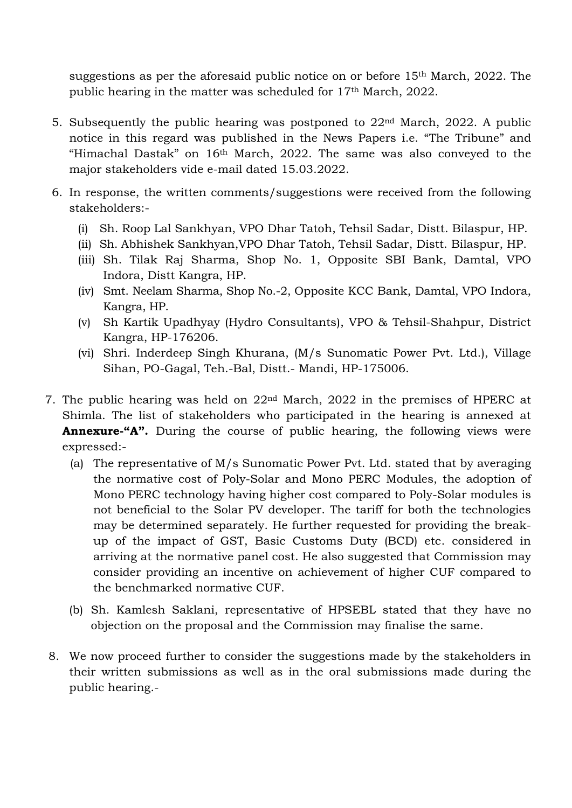suggestions as per the aforesaid public notice on or before 15th March, 2022. The public hearing in the matter was scheduled for 17th March, 2022.

- 5. Subsequently the public hearing was postponed to 22nd March, 2022. A public notice in this regard was published in the News Papers i.e. "The Tribune" and "Himachal Dastak" on 16th March, 2022. The same was also conveyed to the major stakeholders vide e-mail dated 15.03.2022.
- 6. In response, the written comments/suggestions were received from the following stakeholders:-
	- (i) Sh. Roop Lal Sankhyan, VPO Dhar Tatoh, Tehsil Sadar, Distt. Bilaspur, HP.
	- (ii) Sh. Abhishek Sankhyan,VPO Dhar Tatoh, Tehsil Sadar, Distt. Bilaspur, HP.
	- (iii) Sh. Tilak Raj Sharma, Shop No. 1, Opposite SBI Bank, Damtal, VPO Indora, Distt Kangra, HP.
	- (iv) Smt. Neelam Sharma, Shop No.-2, Opposite KCC Bank, Damtal, VPO Indora, Kangra, HP.
	- (v) Sh Kartik Upadhyay (Hydro Consultants), VPO & Tehsil-Shahpur, District Kangra, HP-176206.
	- (vi) Shri. Inderdeep Singh Khurana, (M/s Sunomatic Power Pvt. Ltd.), Village Sihan, PO-Gagal, Teh.-Bal, Distt.- Mandi, HP-175006.
- 7. The public hearing was held on 22nd March, 2022 in the premises of HPERC at Shimla. The list of stakeholders who participated in the hearing is annexed at **Annexure-"A".** During the course of public hearing, the following views were expressed:-
	- (a) The representative of M/s Sunomatic Power Pvt. Ltd. stated that by averaging the normative cost of Poly-Solar and Mono PERC Modules, the adoption of Mono PERC technology having higher cost compared to Poly-Solar modules is not beneficial to the Solar PV developer. The tariff for both the technologies may be determined separately. He further requested for providing the breakup of the impact of GST, Basic Customs Duty (BCD) etc. considered in arriving at the normative panel cost. He also suggested that Commission may consider providing an incentive on achievement of higher CUF compared to the benchmarked normative CUF.
	- (b) Sh. Kamlesh Saklani, representative of HPSEBL stated that they have no objection on the proposal and the Commission may finalise the same.
- 8. We now proceed further to consider the suggestions made by the stakeholders in their written submissions as well as in the oral submissions made during the public hearing.-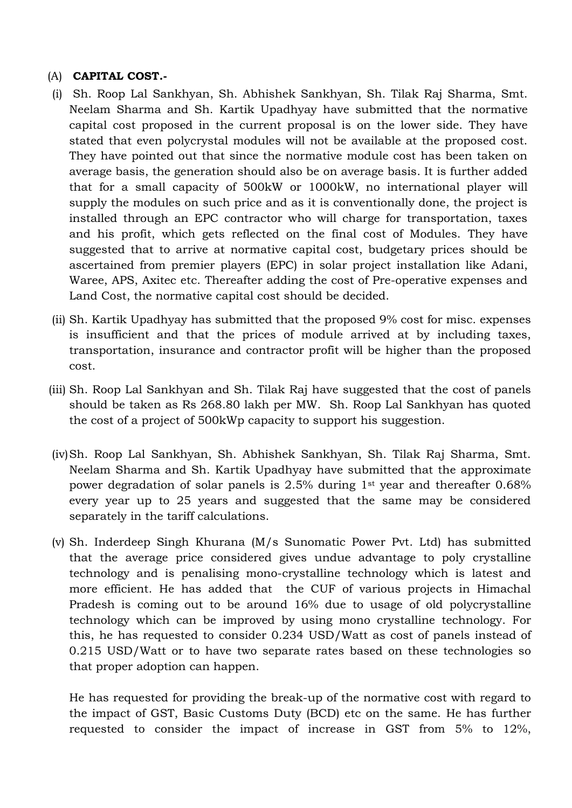### (A) **CAPITAL COST.-**

- (i) Sh. Roop Lal Sankhyan, Sh. Abhishek Sankhyan, Sh. Tilak Raj Sharma, Smt. Neelam Sharma and Sh. Kartik Upadhyay have submitted that the normative capital cost proposed in the current proposal is on the lower side. They have stated that even polycrystal modules will not be available at the proposed cost. They have pointed out that since the normative module cost has been taken on average basis, the generation should also be on average basis. It is further added that for a small capacity of 500kW or 1000kW, no international player will supply the modules on such price and as it is conventionally done, the project is installed through an EPC contractor who will charge for transportation, taxes and his profit, which gets reflected on the final cost of Modules. They have suggested that to arrive at normative capital cost, budgetary prices should be ascertained from premier players (EPC) in solar project installation like Adani, Waree, APS, Axitec etc. Thereafter adding the cost of Pre-operative expenses and Land Cost, the normative capital cost should be decided.
- (ii) Sh. Kartik Upadhyay has submitted that the proposed 9% cost for misc. expenses is insufficient and that the prices of module arrived at by including taxes, transportation, insurance and contractor profit will be higher than the proposed cost.
- (iii) Sh. Roop Lal Sankhyan and Sh. Tilak Raj have suggested that the cost of panels should be taken as Rs 268.80 lakh per MW. Sh. Roop Lal Sankhyan has quoted the cost of a project of 500kWp capacity to support his suggestion.
- (iv)Sh. Roop Lal Sankhyan, Sh. Abhishek Sankhyan, Sh. Tilak Raj Sharma, Smt. Neelam Sharma and Sh. Kartik Upadhyay have submitted that the approximate power degradation of solar panels is 2.5% during 1st year and thereafter 0.68% every year up to 25 years and suggested that the same may be considered separately in the tariff calculations.
- (v) Sh. Inderdeep Singh Khurana (M/s Sunomatic Power Pvt. Ltd) has submitted that the average price considered gives undue advantage to poly crystalline technology and is penalising mono-crystalline technology which is latest and more efficient. He has added that the CUF of various projects in Himachal Pradesh is coming out to be around 16% due to usage of old polycrystalline technology which can be improved by using mono crystalline technology. For this, he has requested to consider 0.234 USD/Watt as cost of panels instead of 0.215 USD/Watt or to have two separate rates based on these technologies so that proper adoption can happen.

He has requested for providing the break-up of the normative cost with regard to the impact of GST, Basic Customs Duty (BCD) etc on the same. He has further requested to consider the impact of increase in GST from 5% to 12%,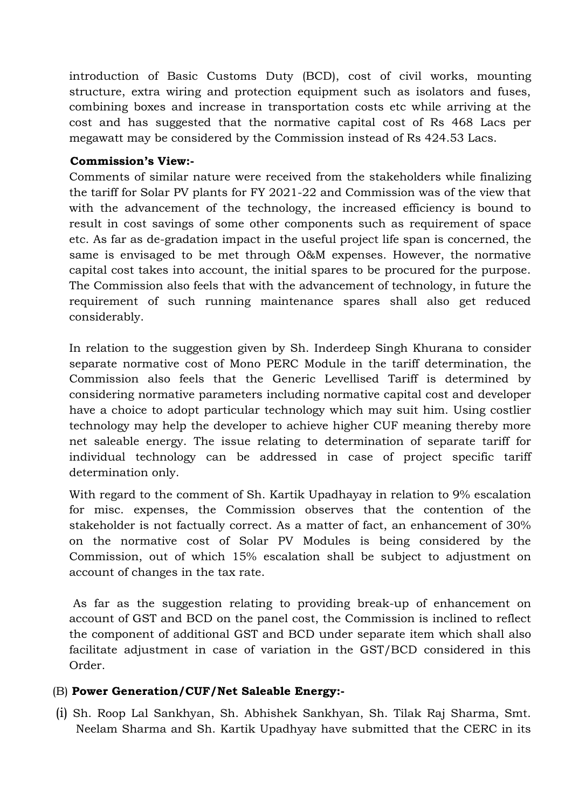introduction of Basic Customs Duty (BCD), cost of civil works, mounting structure, extra wiring and protection equipment such as isolators and fuses, combining boxes and increase in transportation costs etc while arriving at the cost and has suggested that the normative capital cost of Rs 468 Lacs per megawatt may be considered by the Commission instead of Rs 424.53 Lacs.

### **Commission's View:-**

Comments of similar nature were received from the stakeholders while finalizing the tariff for Solar PV plants for FY 2021-22 and Commission was of the view that with the advancement of the technology, the increased efficiency is bound to result in cost savings of some other components such as requirement of space etc. As far as de-gradation impact in the useful project life span is concerned, the same is envisaged to be met through O&M expenses. However, the normative capital cost takes into account, the initial spares to be procured for the purpose. The Commission also feels that with the advancement of technology, in future the requirement of such running maintenance spares shall also get reduced considerably.

In relation to the suggestion given by Sh. Inderdeep Singh Khurana to consider separate normative cost of Mono PERC Module in the tariff determination, the Commission also feels that the Generic Levellised Tariff is determined by considering normative parameters including normative capital cost and developer have a choice to adopt particular technology which may suit him. Using costlier technology may help the developer to achieve higher CUF meaning thereby more net saleable energy. The issue relating to determination of separate tariff for individual technology can be addressed in case of project specific tariff determination only.

With regard to the comment of Sh. Kartik Upadhayay in relation to 9% escalation for misc. expenses, the Commission observes that the contention of the stakeholder is not factually correct. As a matter of fact, an enhancement of 30% on the normative cost of Solar PV Modules is being considered by the Commission, out of which 15% escalation shall be subject to adjustment on account of changes in the tax rate.

As far as the suggestion relating to providing break-up of enhancement on account of GST and BCD on the panel cost, the Commission is inclined to reflect the component of additional GST and BCD under separate item which shall also facilitate adjustment in case of variation in the GST/BCD considered in this Order.

# (B) **Power Generation/CUF/Net Saleable Energy:-**

(i) Sh. Roop Lal Sankhyan, Sh. Abhishek Sankhyan, Sh. Tilak Raj Sharma, Smt. Neelam Sharma and Sh. Kartik Upadhyay have submitted that the CERC in its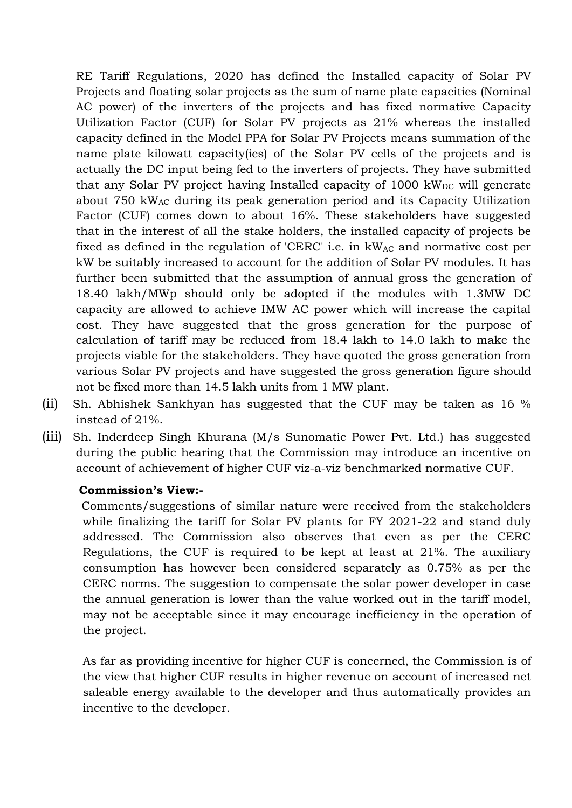RE Tariff Regulations, 2020 has defined the Installed capacity of Solar PV Projects and floating solar projects as the sum of name plate capacities (Nominal AC power) of the inverters of the projects and has fixed normative Capacity Utilization Factor (CUF) for Solar PV projects as 21% whereas the installed capacity defined in the Model PPA for Solar PV Projects means summation of the name plate kilowatt capacity(ies) of the Solar PV cells of the projects and is actually the DC input being fed to the inverters of projects. They have submitted that any Solar PV project having Installed capacity of  $1000 \text{ kW}_{DC}$  will generate about 750 kWAC during its peak generation period and its Capacity Utilization Factor (CUF) comes down to about 16%. These stakeholders have suggested that in the interest of all the stake holders, the installed capacity of projects be fixed as defined in the regulation of 'CERC' i.e. in  $kW_{AC}$  and normative cost per kW be suitably increased to account for the addition of Solar PV modules. It has further been submitted that the assumption of annual gross the generation of 18.40 lakh/MWp should only be adopted if the modules with 1.3MW DC capacity are allowed to achieve IMW AC power which will increase the capital cost. They have suggested that the gross generation for the purpose of calculation of tariff may be reduced from 18.4 lakh to 14.0 lakh to make the projects viable for the stakeholders. They have quoted the gross generation from various Solar PV projects and have suggested the gross generation figure should not be fixed more than 14.5 lakh units from 1 MW plant.

- (ii) Sh. Abhishek Sankhyan has suggested that the CUF may be taken as 16 % instead of 21%.
- (iii) Sh. Inderdeep Singh Khurana (M/s Sunomatic Power Pvt. Ltd.) has suggested during the public hearing that the Commission may introduce an incentive on account of achievement of higher CUF viz-a-viz benchmarked normative CUF.

### **Commission's View:-**

 Comments/suggestions of similar nature were received from the stakeholders while finalizing the tariff for Solar PV plants for FY 2021-22 and stand duly addressed. The Commission also observes that even as per the CERC Regulations, the CUF is required to be kept at least at 21%. The auxiliary consumption has however been considered separately as 0.75% as per the CERC norms. The suggestion to compensate the solar power developer in case the annual generation is lower than the value worked out in the tariff model, may not be acceptable since it may encourage inefficiency in the operation of the project.

As far as providing incentive for higher CUF is concerned, the Commission is of the view that higher CUF results in higher revenue on account of increased net saleable energy available to the developer and thus automatically provides an incentive to the developer.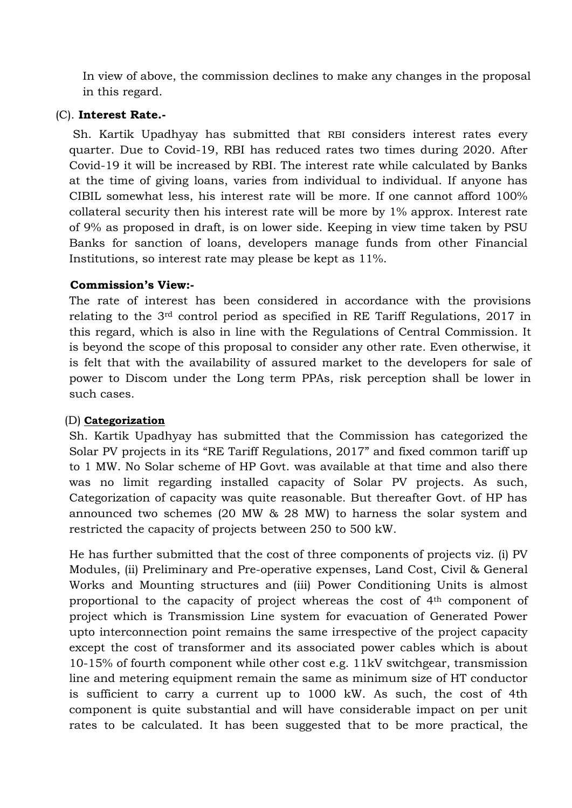In view of above, the commission declines to make any changes in the proposal in this regard.

### (C). **Interest Rate.-**

Sh. Kartik Upadhyay has submitted that RBI considers interest rates every quarter. Due to Covid-19, RBI has reduced rates two times during 2020. After Covid-19 it will be increased by RBI. The interest rate while calculated by Banks at the time of giving loans, varies from individual to individual. If anyone has CIBIL somewhat less, his interest rate will be more. If one cannot afford 100% collateral security then his interest rate will be more by 1% approx. Interest rate of 9% as proposed in draft, is on lower side. Keeping in view time taken by PSU Banks for sanction of loans, developers manage funds from other Financial Institutions, so interest rate may please be kept as 11%.

### **Commission's View:-**

The rate of interest has been considered in accordance with the provisions relating to the 3rd control period as specified in RE Tariff Regulations, 2017 in this regard, which is also in line with the Regulations of Central Commission. It is beyond the scope of this proposal to consider any other rate. Even otherwise, it is felt that with the availability of assured market to the developers for sale of power to Discom under the Long term PPAs, risk perception shall be lower in such cases.

### (D) **Categorization**

Sh. Kartik Upadhyay has submitted that the Commission has categorized the Solar PV projects in its "RE Tariff Regulations, 2017" and fixed common tariff up to 1 MW. No Solar scheme of HP Govt. was available at that time and also there was no limit regarding installed capacity of Solar PV projects. As such, Categorization of capacity was quite reasonable. But thereafter Govt. of HP has announced two schemes (20 MW & 28 MW) to harness the solar system and restricted the capacity of projects between 250 to 500 kW.

He has further submitted that the cost of three components of projects viz. (i) PV Modules, (ii) Preliminary and Pre-operative expenses, Land Cost, Civil & General Works and Mounting structures and (iii) Power Conditioning Units is almost proportional to the capacity of project whereas the cost of 4th component of project which is Transmission Line system for evacuation of Generated Power upto interconnection point remains the same irrespective of the project capacity except the cost of transformer and its associated power cables which is about 10-15% of fourth component while other cost e.g. 11kV switchgear, transmission line and metering equipment remain the same as minimum size of HT conductor is sufficient to carry a current up to 1000 kW. As such, the cost of 4th component is quite substantial and will have considerable impact on per unit rates to be calculated. It has been suggested that to be more practical, the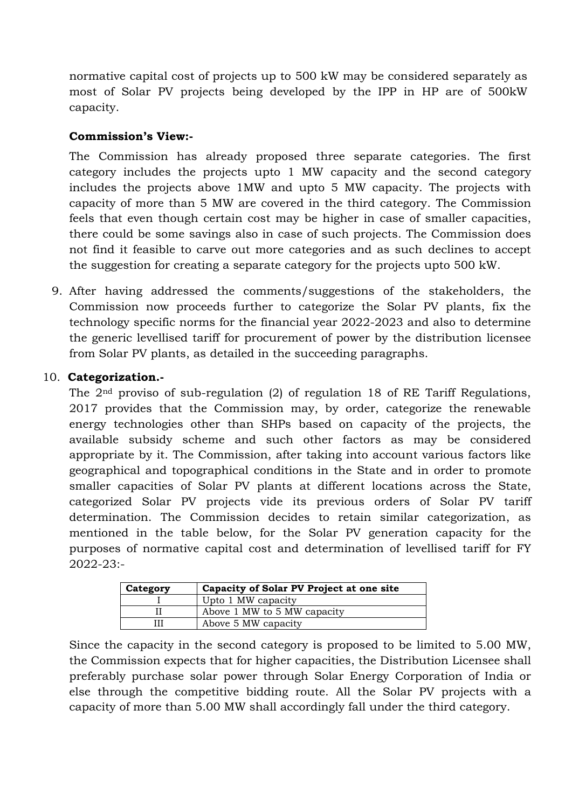normative capital cost of projects up to 500 kW may be considered separately as most of Solar PV projects being developed by the IPP in HP are of 500kW capacity.

### **Commission's View:-**

The Commission has already proposed three separate categories. The first category includes the projects upto 1 MW capacity and the second category includes the projects above 1MW and upto 5 MW capacity. The projects with capacity of more than 5 MW are covered in the third category. The Commission feels that even though certain cost may be higher in case of smaller capacities, there could be some savings also in case of such projects. The Commission does not find it feasible to carve out more categories and as such declines to accept the suggestion for creating a separate category for the projects upto 500 kW.

9. After having addressed the comments/suggestions of the stakeholders, the Commission now proceeds further to categorize the Solar PV plants, fix the technology specific norms for the financial year 2022-2023 and also to determine the generic levellised tariff for procurement of power by the distribution licensee from Solar PV plants, as detailed in the succeeding paragraphs.

### 10. **Categorization.-**

The 2nd proviso of sub-regulation (2) of regulation 18 of RE Tariff Regulations, 2017 provides that the Commission may, by order, categorize the renewable energy technologies other than SHPs based on capacity of the projects, the available subsidy scheme and such other factors as may be considered appropriate by it. The Commission, after taking into account various factors like geographical and topographical conditions in the State and in order to promote smaller capacities of Solar PV plants at different locations across the State, categorized Solar PV projects vide its previous orders of Solar PV tariff determination. The Commission decides to retain similar categorization, as mentioned in the table below, for the Solar PV generation capacity for the purposes of normative capital cost and determination of levellised tariff for FY 2022-23:-

| Category | Capacity of Solar PV Project at one site |
|----------|------------------------------------------|
|          | Upto 1 MW capacity                       |
|          | Above 1 MW to 5 MW capacity              |
|          | Above 5 MW capacity                      |

Since the capacity in the second category is proposed to be limited to 5.00 MW, the Commission expects that for higher capacities, the Distribution Licensee shall preferably purchase solar power through Solar Energy Corporation of India or else through the competitive bidding route. All the Solar PV projects with a capacity of more than 5.00 MW shall accordingly fall under the third category.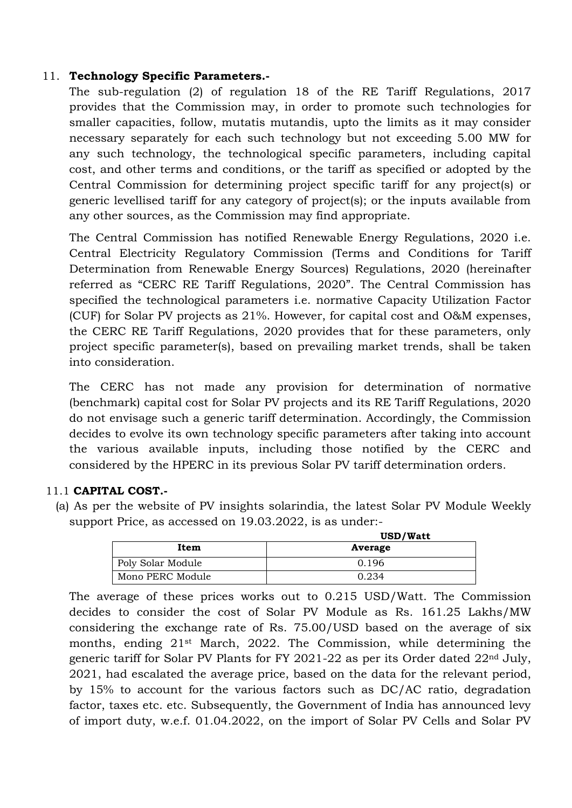### 11. **Technology Specific Parameters.-**

The sub-regulation (2) of regulation 18 of the RE Tariff Regulations, 2017 provides that the Commission may, in order to promote such technologies for smaller capacities, follow, mutatis mutandis, upto the limits as it may consider necessary separately for each such technology but not exceeding 5.00 MW for any such technology, the technological specific parameters, including capital cost, and other terms and conditions, or the tariff as specified or adopted by the Central Commission for determining project specific tariff for any project(s) or generic levellised tariff for any category of project(s); or the inputs available from any other sources, as the Commission may find appropriate.

The Central Commission has notified Renewable Energy Regulations, 2020 i.e. Central Electricity Regulatory Commission (Terms and Conditions for Tariff Determination from Renewable Energy Sources) Regulations, 2020 (hereinafter referred as "CERC RE Tariff Regulations, 2020". The Central Commission has specified the technological parameters i.e. normative Capacity Utilization Factor (CUF) for Solar PV projects as 21%. However, for capital cost and O&M expenses, the CERC RE Tariff Regulations, 2020 provides that for these parameters, only project specific parameter(s), based on prevailing market trends, shall be taken into consideration.

The CERC has not made any provision for determination of normative (benchmark) capital cost for Solar PV projects and its RE Tariff Regulations, 2020 do not envisage such a generic tariff determination. Accordingly, the Commission decides to evolve its own technology specific parameters after taking into account the various available inputs, including those notified by the CERC and considered by the HPERC in its previous Solar PV tariff determination orders.

### 11.1 **CAPITAL COST.-**

(a) As per the website of PV insights solarindia, the latest Solar PV Module Weekly support Price, as accessed on 19.03.2022, is as under:-

|                   | USD/Watt |
|-------------------|----------|
| Item              | Average  |
| Poly Solar Module | 0.196    |
| Mono PERC Module  | 0.234    |

The average of these prices works out to 0.215 USD/Watt. The Commission decides to consider the cost of Solar PV Module as Rs. 161.25 Lakhs/MW considering the exchange rate of Rs. 75.00/USD based on the average of six months, ending 21st March, 2022. The Commission, while determining the generic tariff for Solar PV Plants for FY 2021-22 as per its Order dated 22nd July, 2021, had escalated the average price, based on the data for the relevant period, by 15% to account for the various factors such as DC/AC ratio, degradation factor, taxes etc. etc. Subsequently, the Government of India has announced levy of import duty, w.e.f. 01.04.2022, on the import of Solar PV Cells and Solar PV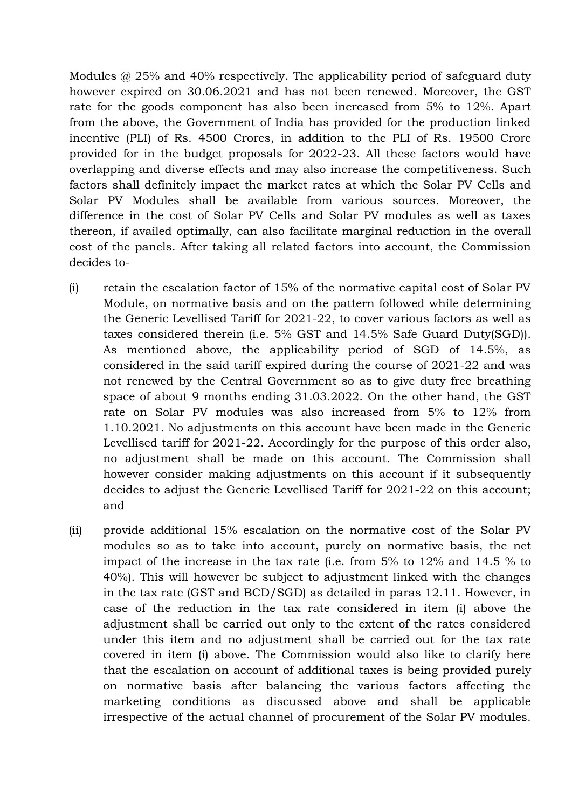Modules @ 25% and 40% respectively. The applicability period of safeguard duty however expired on 30.06.2021 and has not been renewed. Moreover, the GST rate for the goods component has also been increased from 5% to 12%. Apart from the above, the Government of India has provided for the production linked incentive (PLI) of Rs. 4500 Crores, in addition to the PLI of Rs. 19500 Crore provided for in the budget proposals for 2022-23. All these factors would have overlapping and diverse effects and may also increase the competitiveness. Such factors shall definitely impact the market rates at which the Solar PV Cells and Solar PV Modules shall be available from various sources. Moreover, the difference in the cost of Solar PV Cells and Solar PV modules as well as taxes thereon, if availed optimally, can also facilitate marginal reduction in the overall cost of the panels. After taking all related factors into account, the Commission decides to-

- (i) retain the escalation factor of 15% of the normative capital cost of Solar PV Module, on normative basis and on the pattern followed while determining the Generic Levellised Tariff for 2021-22, to cover various factors as well as taxes considered therein (i.e. 5% GST and 14.5% Safe Guard Duty(SGD)). As mentioned above, the applicability period of SGD of 14.5%, as considered in the said tariff expired during the course of 2021-22 and was not renewed by the Central Government so as to give duty free breathing space of about 9 months ending 31.03.2022. On the other hand, the GST rate on Solar PV modules was also increased from 5% to 12% from 1.10.2021. No adjustments on this account have been made in the Generic Levellised tariff for 2021-22. Accordingly for the purpose of this order also, no adjustment shall be made on this account. The Commission shall however consider making adjustments on this account if it subsequently decides to adjust the Generic Levellised Tariff for 2021-22 on this account; and
- (ii) provide additional 15% escalation on the normative cost of the Solar PV modules so as to take into account, purely on normative basis, the net impact of the increase in the tax rate (i.e. from 5% to 12% and 14.5 % to 40%). This will however be subject to adjustment linked with the changes in the tax rate (GST and BCD/SGD) as detailed in paras 12.11. However, in case of the reduction in the tax rate considered in item (i) above the adjustment shall be carried out only to the extent of the rates considered under this item and no adjustment shall be carried out for the tax rate covered in item (i) above. The Commission would also like to clarify here that the escalation on account of additional taxes is being provided purely on normative basis after balancing the various factors affecting the marketing conditions as discussed above and shall be applicable irrespective of the actual channel of procurement of the Solar PV modules.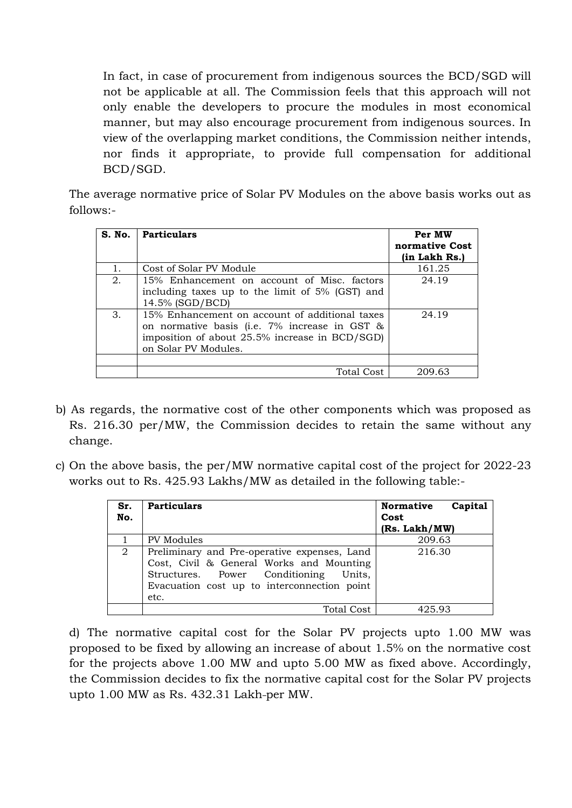In fact, in case of procurement from indigenous sources the BCD/SGD will not be applicable at all. The Commission feels that this approach will not only enable the developers to procure the modules in most economical manner, but may also encourage procurement from indigenous sources. In view of the overlapping market conditions, the Commission neither intends, nor finds it appropriate, to provide full compensation for additional BCD/SGD.

The average normative price of Solar PV Modules on the above basis works out as follows:-

|    | S. No.   Particulars                                                                                                                                                      | Per MW<br>normative Cost<br>(in Lakh Rs.) |
|----|---------------------------------------------------------------------------------------------------------------------------------------------------------------------------|-------------------------------------------|
|    | Cost of Solar PV Module                                                                                                                                                   | 161.25                                    |
| 2. | 15% Enhancement on account of Misc. factors<br>including taxes up to the limit of 5% (GST) and<br>14.5% (SGD/BCD)                                                         | 24.19                                     |
| 3. | 15% Enhancement on account of additional taxes<br>on normative basis (i.e. 7% increase in GST &<br>imposition of about 25.5% increase in BCD/SGD)<br>on Solar PV Modules. | 24.19                                     |
|    | Total Cost                                                                                                                                                                | 209.63                                    |

- b) As regards, the normative cost of the other components which was proposed as Rs. 216.30 per/MW, the Commission decides to retain the same without any change.
- c) On the above basis, the per/MW normative capital cost of the project for 2022-23 works out to Rs. 425.93 Lakhs/MW as detailed in the following table:-

| Sr.<br>No. | <b>Particulars</b>                                                                                                                                                                          | <b>Normative</b><br>Capital<br>Cost<br>(Rs. Lakh/MW) |
|------------|---------------------------------------------------------------------------------------------------------------------------------------------------------------------------------------------|------------------------------------------------------|
|            | PV Modules                                                                                                                                                                                  | 209.63                                               |
| 2          | Preliminary and Pre-operative expenses, Land<br>Cost, Civil & General Works and Mounting<br>Structures. Power Conditioning<br>Units.<br>Evacuation cost up to interconnection point<br>etc. | 216.30                                               |
|            | Total Cost                                                                                                                                                                                  | 425.93                                               |

d) The normative capital cost for the Solar PV projects upto 1.00 MW was proposed to be fixed by allowing an increase of about 1.5% on the normative cost for the projects above 1.00 MW and upto 5.00 MW as fixed above. Accordingly, the Commission decides to fix the normative capital cost for the Solar PV projects upto 1.00 MW as Rs. 432.31 Lakh-per MW.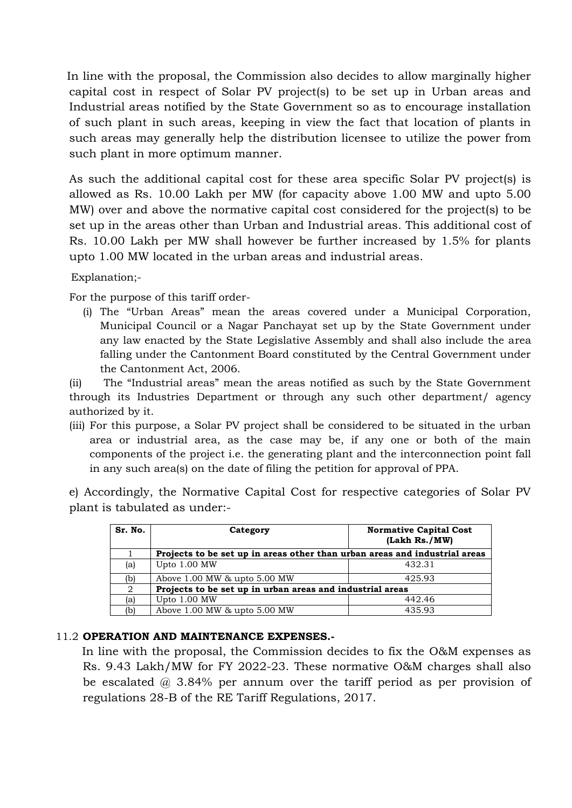In line with the proposal, the Commission also decides to allow marginally higher capital cost in respect of Solar PV project(s) to be set up in Urban areas and Industrial areas notified by the State Government so as to encourage installation of such plant in such areas, keeping in view the fact that location of plants in such areas may generally help the distribution licensee to utilize the power from such plant in more optimum manner.

As such the additional capital cost for these area specific Solar PV project(s) is allowed as Rs. 10.00 Lakh per MW (for capacity above 1.00 MW and upto 5.00 MW) over and above the normative capital cost considered for the project(s) to be set up in the areas other than Urban and Industrial areas. This additional cost of Rs. 10.00 Lakh per MW shall however be further increased by 1.5% for plants upto 1.00 MW located in the urban areas and industrial areas.

Explanation;-

For the purpose of this tariff order-

(i) The "Urban Areas" mean the areas covered under a Municipal Corporation, Municipal Council or a Nagar Panchayat set up by the State Government under any law enacted by the State Legislative Assembly and shall also include the area falling under the Cantonment Board constituted by the Central Government under the Cantonment Act, 2006.

(ii) The "Industrial areas" mean the areas notified as such by the State Government through its Industries Department or through any such other department/ agency authorized by it.

(iii) For this purpose, a Solar PV project shall be considered to be situated in the urban area or industrial area, as the case may be, if any one or both of the main components of the project i.e. the generating plant and the interconnection point fall in any such area(s) on the date of filing the petition for approval of PPA.

e) Accordingly, the Normative Capital Cost for respective categories of Solar PV plant is tabulated as under:-

| Sr. No. | Category                                                                   | <b>Normative Capital Cost</b><br>(Lakh Rs./MW) |  |  |  |  |  |  |  |  |
|---------|----------------------------------------------------------------------------|------------------------------------------------|--|--|--|--|--|--|--|--|
|         | Projects to be set up in areas other than urban areas and industrial areas |                                                |  |  |  |  |  |  |  |  |
| (a)     | Upto 1.00 MW                                                               | 432.31                                         |  |  |  |  |  |  |  |  |
| (b)     | Above $1.00$ MW $\&$ upto $5.00$ MW                                        | 425.93                                         |  |  |  |  |  |  |  |  |
| 2       | Projects to be set up in urban areas and industrial areas                  |                                                |  |  |  |  |  |  |  |  |
| (a)     | Upto 1.00 MW                                                               | 442.46                                         |  |  |  |  |  |  |  |  |
| (b)     | Above 1.00 MW & upto 5.00 MW                                               | 435.93                                         |  |  |  |  |  |  |  |  |

### 11.2 **OPERATION AND MAINTENANCE EXPENSES.-**

 In line with the proposal, the Commission decides to fix the O&M expenses as Rs. 9.43 Lakh/MW for FY 2022-23. These normative O&M charges shall also be escalated @ 3.84% per annum over the tariff period as per provision of regulations 28-B of the RE Tariff Regulations, 2017.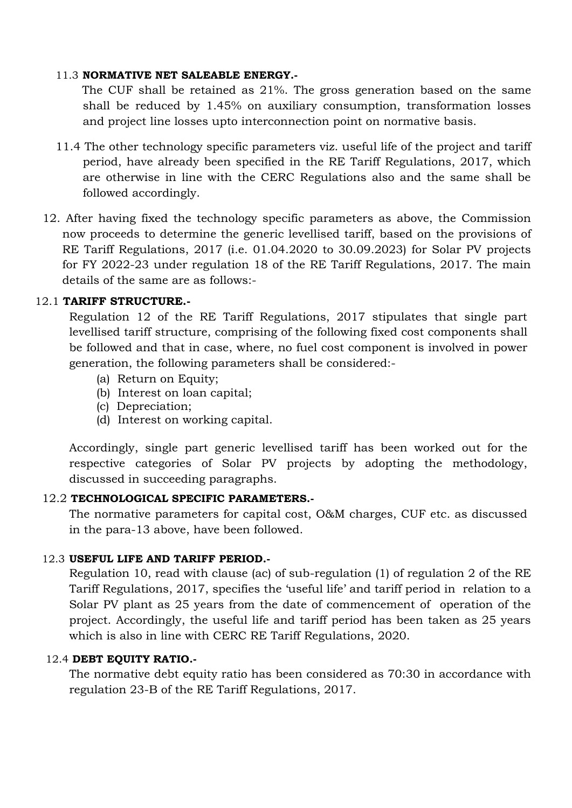#### 11.3 **NORMATIVE NET SALEABLE ENERGY.-**

 The CUF shall be retained as 21%. The gross generation based on the same shall be reduced by 1.45% on auxiliary consumption, transformation losses and project line losses upto interconnection point on normative basis.

- 11.4 The other technology specific parameters viz. useful life of the project and tariff period, have already been specified in the RE Tariff Regulations, 2017, which are otherwise in line with the CERC Regulations also and the same shall be followed accordingly.
- 12. After having fixed the technology specific parameters as above, the Commission now proceeds to determine the generic levellised tariff, based on the provisions of RE Tariff Regulations, 2017 (i.e. 01.04.2020 to 30.09.2023) for Solar PV projects for FY 2022-23 under regulation 18 of the RE Tariff Regulations, 2017. The main details of the same are as follows:-

### 12.1 **TARIFF STRUCTURE.-**

Regulation 12 of the RE Tariff Regulations, 2017 stipulates that single part levellised tariff structure, comprising of the following fixed cost components shall be followed and that in case, where, no fuel cost component is involved in power generation, the following parameters shall be considered:-

- (a) Return on Equity;
- (b) Interest on loan capital;
- (c) Depreciation;
- (d) Interest on working capital.

Accordingly, single part generic levellised tariff has been worked out for the respective categories of Solar PV projects by adopting the methodology, discussed in succeeding paragraphs.

### 12.2 **TECHNOLOGICAL SPECIFIC PARAMETERS.-**

The normative parameters for capital cost, O&M charges, CUF etc. as discussed in the para-13 above, have been followed.

### 12.3 **USEFUL LIFE AND TARIFF PERIOD.-**

Regulation 10, read with clause (ac) of sub-regulation (1) of regulation 2 of the RE Tariff Regulations, 2017, specifies the "useful life" and tariff period in relation to a Solar PV plant as 25 years from the date of commencement of operation of the project. Accordingly, the useful life and tariff period has been taken as 25 years which is also in line with CERC RE Tariff Regulations, 2020.

### 12.4 **DEBT EQUITY RATIO.-**

The normative debt equity ratio has been considered as 70:30 in accordance with regulation 23-B of the RE Tariff Regulations, 2017.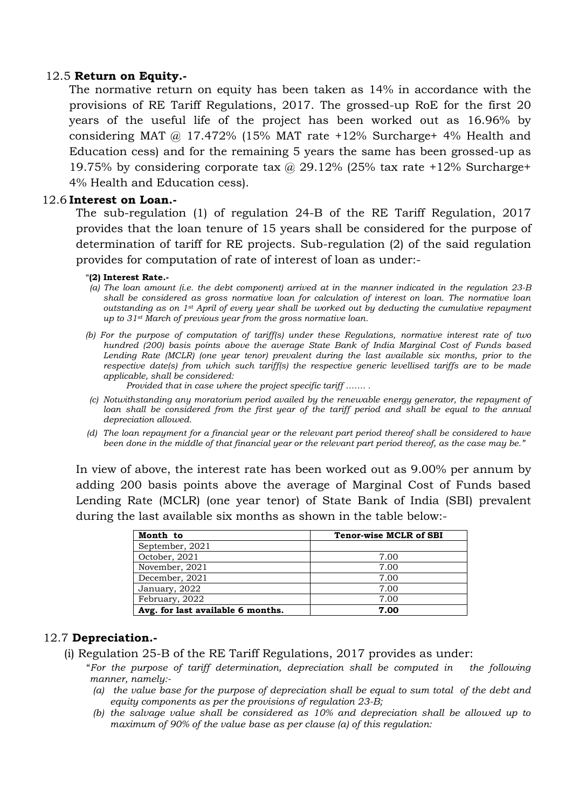#### 12.5 **Return on Equity.-**

The normative return on equity has been taken as 14% in accordance with the provisions of RE Tariff Regulations, 2017. The grossed-up RoE for the first 20 years of the useful life of the project has been worked out as 16.96% by considering MAT  $\omega$  17.472% (15% MAT rate +12% Surcharge+ 4% Health and Education cess) and for the remaining 5 years the same has been grossed-up as 19.75% by considering corporate tax  $\omega$  29.12% (25% tax rate +12% Surcharge+ 4% Health and Education cess).

### 12.6 **Interest on Loan.-**

 The sub-regulation (1) of regulation 24-B of the RE Tariff Regulation, 2017 provides that the loan tenure of 15 years shall be considered for the purpose of determination of tariff for RE projects. Sub-regulation (2) of the said regulation provides for computation of rate of interest of loan as under:-

#### "**(2) Interest Rate.-**

- *(a) The loan amount (i.e. the debt component) arrived at in the manner indicated in the regulation 23-B shall be considered as gross normative loan for calculation of interest on loan. The normative loan outstanding as on 1st April of every year shall be worked out by deducting the cumulative repayment up to 31st March of previous year from the gross normative loan.*
- *(b) For the purpose of computation of tariff(s) under these Regulations, normative interest rate of two hundred (200) basis points above the average State Bank of India Marginal Cost of Funds based Lending Rate (MCLR) (one year tenor) prevalent during the last available six months, prior to the respective date(s) from which such tariff(s) the respective generic levellised tariffs are to be made applicable, shall be considered:*

 *Provided that in case where the project specific tariff ……. .*

- *(c) Notwithstanding any moratorium period availed by the renewable energy generator, the repayment of loan shall be considered from the first year of the tariff period and shall be equal to the annual depreciation allowed.*
- *(d) The loan repayment for a financial year or the relevant part period thereof shall be considered to have been done in the middle of that financial year or the relevant part period thereof, as the case may be."*

 In view of above, the interest rate has been worked out as 9.00% per annum by adding 200 basis points above the average of Marginal Cost of Funds based Lending Rate (MCLR) (one year tenor) of State Bank of India (SBI) prevalent during the last available six months as shown in the table below:-

| Month to                          | <b>Tenor-wise MCLR of SBI</b> |
|-----------------------------------|-------------------------------|
| September, 2021                   |                               |
| October, 2021                     | 7.00                          |
| November, 2021                    | 7.00                          |
| December, 2021                    | 7.00                          |
| January, 2022                     | 7.00                          |
| February, 2022                    | 7.00                          |
| Avg. for last available 6 months. | 7.00                          |

#### 12.7 **Depreciation.-**

- (i) Regulation 25-B of the RE Tariff Regulations, 2017 provides as under:
	- "*For the purpose of tariff determination, depreciation shall be computed in the following manner, namely:-*
		- *(a) the value base for the purpose of depreciation shall be equal to sum total of the debt and equity components as per the provisions of regulation 23-B;*
		- *(b) the salvage value shall be considered as 10% and depreciation shall be allowed up to maximum of 90% of the value base as per clause (a) of this regulation:*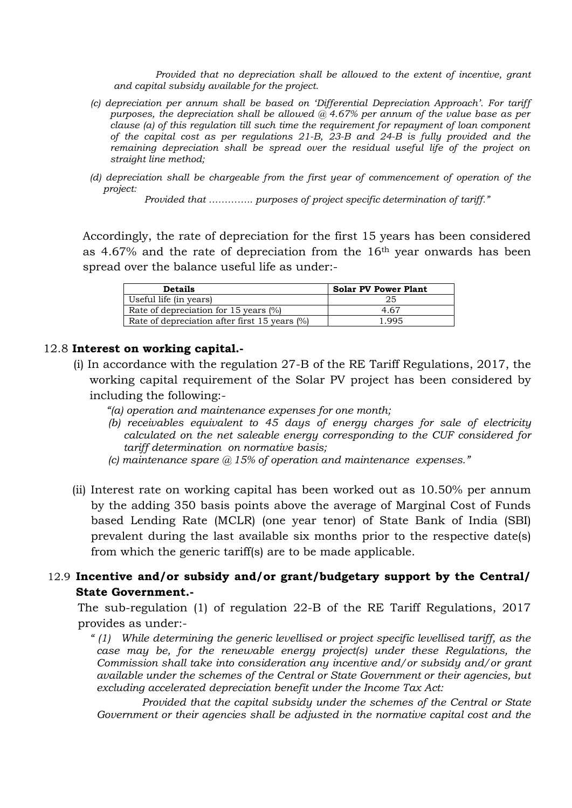*Provided that no depreciation shall be allowed to the extent of incentive, grant and capital subsidy available for the project.*

- *(c) depreciation per annum shall be based on "Differential Depreciation Approach". For tariff purposes, the depreciation shall be allowed @ 4.67% per annum of the value base as per clause (a) of this regulation till such time the requirement for repayment of loan component of the capital cost as per regulations 21-B, 23-B and 24-B is fully provided and the remaining depreciation shall be spread over the residual useful life of the project on straight line method;*
- *(d) depreciation shall be chargeable from the first year of commencement of operation of the project:*

*Provided that ………….. purposes of project specific determination of tariff."* 

Accordingly, the rate of depreciation for the first 15 years has been considered as 4.67% and the rate of depreciation from the 16th year onwards has been spread over the balance useful life as under:-

| <b>Details</b>                                | <b>Solar PV Power Plant</b> |
|-----------------------------------------------|-----------------------------|
| Useful life (in years)                        | 25                          |
| Rate of depreciation for 15 years (%)         | 4.67                        |
| Rate of depreciation after first 15 years (%) | 1995                        |

#### 12.8 **Interest on working capital.-**

- (i) In accordance with the regulation 27-B of the RE Tariff Regulations, 2017, the working capital requirement of the Solar PV project has been considered by including the following:-
	- *"(a) operation and maintenance expenses for one month;*
	- *(b) receivables equivalent to 45 days of energy charges for sale of electricity calculated on the net saleable energy corresponding to the CUF considered for tariff determination on normative basis;*
	- *(c) maintenance spare @ 15% of operation and maintenance expenses."*
- (ii) Interest rate on working capital has been worked out as 10.50% per annum by the adding 350 basis points above the average of Marginal Cost of Funds based Lending Rate (MCLR) (one year tenor) of State Bank of India (SBI) prevalent during the last available six months prior to the respective date(s) from which the generic tariff(s) are to be made applicable.

# 12.9 **Incentive and/or subsidy and/or grant/budgetary support by the Central/ State Government.-**

The sub-regulation (1) of regulation 22-B of the RE Tariff Regulations, 2017 provides as under:-

*" (1) While determining the generic levellised or project specific levellised tariff, as the case may be, for the renewable energy project(s) under these Regulations, the Commission shall take into consideration any incentive and/or subsidy and/or grant available under the schemes of the Central or State Government or their agencies, but*  excluding accelerated depreciation benefit under the Income Tax Act:

*Provided that the capital subsidy under the schemes of the Central or State Government or their agencies shall be adjusted in the normative capital cost and the*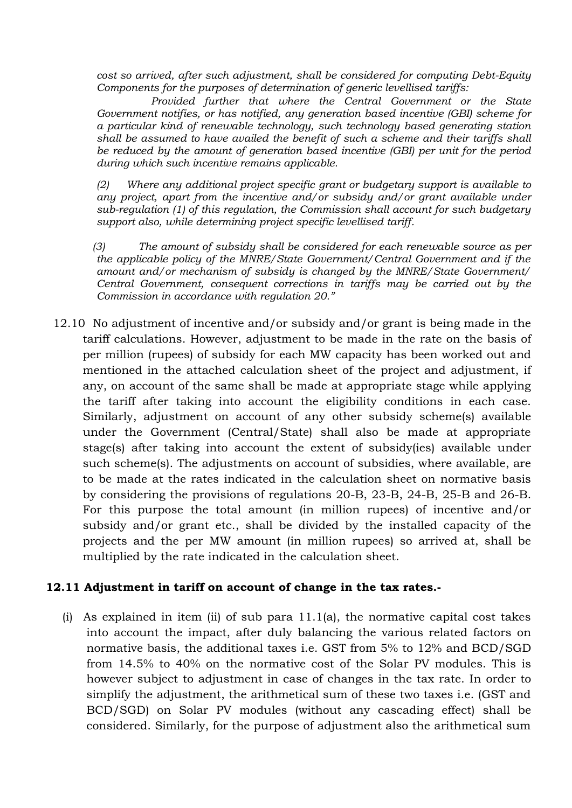*cost so arrived, after such adjustment, shall be considered for computing Debt-Equity Components for the purposes of determination of generic levellised tariffs:*

*Provided further that where the Central Government or the State Government notifies, or has notified, any generation based incentive (GBI) scheme for a particular kind of renewable technology, such technology based generating station shall be assumed to have availed the benefit of such a scheme and their tariffs shall be reduced by the amount of generation based incentive (GBI) per unit for the period during which such incentive remains applicable.*

*(2) Where any additional project specific grant or budgetary support is available to any project, apart from the incentive and/or subsidy and/or grant available under sub-regulation (1) of this regulation, the Commission shall account for such budgetary support also, while determining project specific levellised tariff.*

 *(3) The amount of subsidy shall be considered for each renewable source as per the applicable policy of the MNRE/State Government/Central Government and if the amount and/or mechanism of subsidy is changed by the MNRE/State Government/ Central Government, consequent corrections in tariffs may be carried out by the Commission in accordance with regulation 20."*

 12.10 No adjustment of incentive and/or subsidy and/or grant is being made in the tariff calculations. However, adjustment to be made in the rate on the basis of per million (rupees) of subsidy for each MW capacity has been worked out and mentioned in the attached calculation sheet of the project and adjustment, if any, on account of the same shall be made at appropriate stage while applying the tariff after taking into account the eligibility conditions in each case. Similarly, adjustment on account of any other subsidy scheme(s) available under the Government (Central/State) shall also be made at appropriate stage(s) after taking into account the extent of subsidy(ies) available under such scheme(s). The adjustments on account of subsidies, where available, are to be made at the rates indicated in the calculation sheet on normative basis by considering the provisions of regulations 20-B, 23-B, 24-B, 25-B and 26-B. For this purpose the total amount (in million rupees) of incentive and/or subsidy and/or grant etc., shall be divided by the installed capacity of the projects and the per MW amount (in million rupees) so arrived at, shall be multiplied by the rate indicated in the calculation sheet.

### **12.11 Adjustment in tariff on account of change in the tax rates.-**

(i)As explained in item (ii) of sub para 11.1(a), the normative capital cost takes into account the impact, after duly balancing the various related factors on normative basis, the additional taxes i.e. GST from 5% to 12% and BCD/SGD from 14.5% to 40% on the normative cost of the Solar PV modules. This is however subject to adjustment in case of changes in the tax rate. In order to simplify the adjustment, the arithmetical sum of these two taxes i.e. (GST and BCD/SGD) on Solar PV modules (without any cascading effect) shall be considered. Similarly, for the purpose of adjustment also the arithmetical sum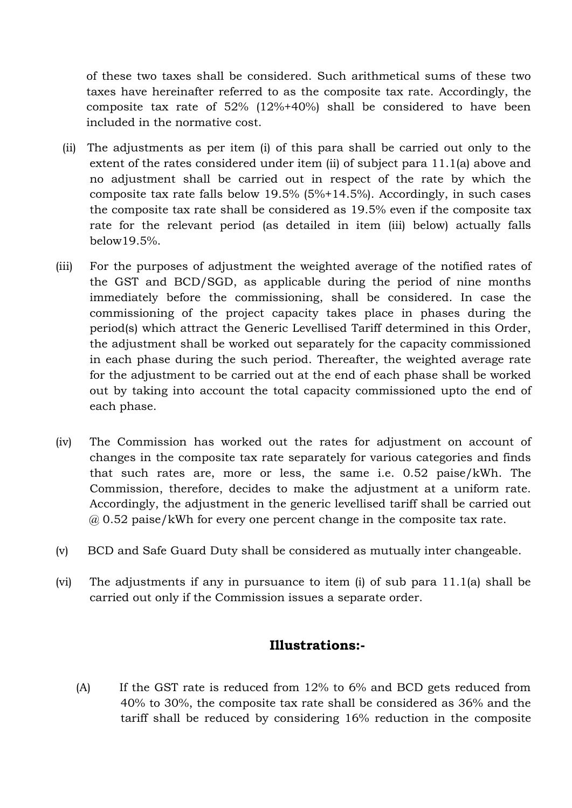of these two taxes shall be considered. Such arithmetical sums of these two taxes have hereinafter referred to as the composite tax rate. Accordingly, the composite tax rate of 52% (12%+40%) shall be considered to have been included in the normative cost.

- (ii)The adjustments as per item (i) of this para shall be carried out only to the extent of the rates considered under item (ii) of subject para 11.1(a) above and no adjustment shall be carried out in respect of the rate by which the composite tax rate falls below 19.5% (5%+14.5%). Accordingly, in such cases the composite tax rate shall be considered as 19.5% even if the composite tax rate for the relevant period (as detailed in item (iii) below) actually falls below19.5%.
- (iii) For the purposes of adjustment the weighted average of the notified rates of the GST and BCD/SGD, as applicable during the period of nine months immediately before the commissioning, shall be considered. In case the commissioning of the project capacity takes place in phases during the period(s) which attract the Generic Levellised Tariff determined in this Order, the adjustment shall be worked out separately for the capacity commissioned in each phase during the such period. Thereafter, the weighted average rate for the adjustment to be carried out at the end of each phase shall be worked out by taking into account the total capacity commissioned upto the end of each phase.
- (iv) The Commission has worked out the rates for adjustment on account of changes in the composite tax rate separately for various categories and finds that such rates are, more or less, the same i.e. 0.52 paise/kWh. The Commission, therefore, decides to make the adjustment at a uniform rate. Accordingly, the adjustment in the generic levellised tariff shall be carried out @ 0.52 paise/kWh for every one percent change in the composite tax rate.
- (v) BCD and Safe Guard Duty shall be considered as mutually inter changeable.
- (vi) The adjustments if any in pursuance to item (i) of sub para 11.1(a) shall be carried out only if the Commission issues a separate order.

# **Illustrations:-**

(A)If the GST rate is reduced from 12% to 6% and BCD gets reduced from 40% to 30%, the composite tax rate shall be considered as 36% and the tariff shall be reduced by considering 16% reduction in the composite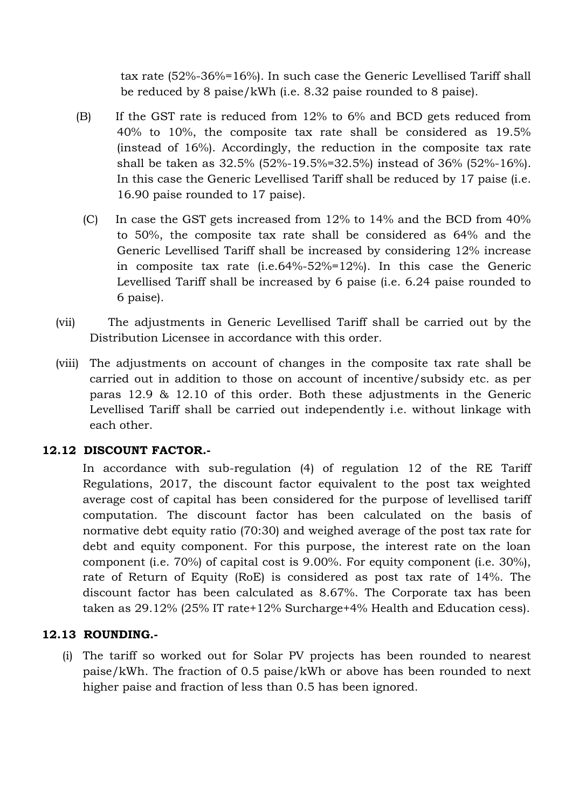tax rate (52%-36%=16%). In such case the Generic Levellised Tariff shall be reduced by 8 paise/kWh (i.e. 8.32 paise rounded to 8 paise).

- (B)If the GST rate is reduced from 12% to 6% and BCD gets reduced from 40% to 10%, the composite tax rate shall be considered as 19.5% (instead of 16%). Accordingly, the reduction in the composite tax rate shall be taken as 32.5% (52%-19.5%=32.5%) instead of 36% (52%-16%). In this case the Generic Levellised Tariff shall be reduced by 17 paise (i.e. 16.90 paise rounded to 17 paise).
	- (C)In case the GST gets increased from 12% to 14% and the BCD from 40% to 50%, the composite tax rate shall be considered as 64% and the Generic Levellised Tariff shall be increased by considering 12% increase in composite tax rate (i.e.64%-52%=12%). In this case the Generic Levellised Tariff shall be increased by 6 paise (i.e. 6.24 paise rounded to 6 paise).
- (vii) The adjustments in Generic Levellised Tariff shall be carried out by the Distribution Licensee in accordance with this order.
- (viii) The adjustments on account of changes in the composite tax rate shall be carried out in addition to those on account of incentive/subsidy etc. as per paras 12.9 & 12.10 of this order. Both these adjustments in the Generic Levellised Tariff shall be carried out independently i.e. without linkage with each other.

# **12.12 DISCOUNT FACTOR.-**

In accordance with sub-regulation (4) of regulation 12 of the RE Tariff Regulations, 2017, the discount factor equivalent to the post tax weighted average cost of capital has been considered for the purpose of levellised tariff computation. The discount factor has been calculated on the basis of normative debt equity ratio (70:30) and weighed average of the post tax rate for debt and equity component. For this purpose, the interest rate on the loan component (i.e. 70%) of capital cost is 9.00%. For equity component (i.e. 30%), rate of Return of Equity (RoE) is considered as post tax rate of 14%. The discount factor has been calculated as 8.67%. The Corporate tax has been taken as 29.12% (25% IT rate+12% Surcharge+4% Health and Education cess).

# **12.13 ROUNDING.-**

(i) The tariff so worked out for Solar PV projects has been rounded to nearest paise/kWh. The fraction of 0.5 paise/kWh or above has been rounded to next higher paise and fraction of less than 0.5 has been ignored.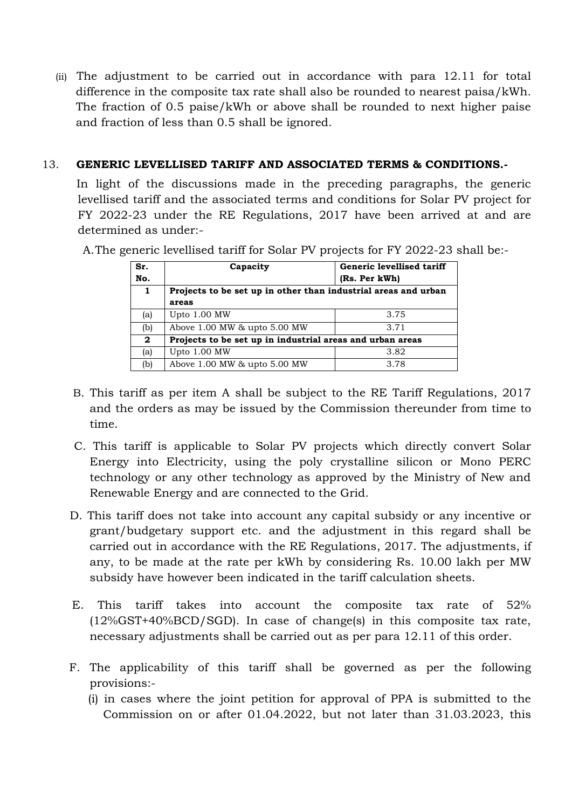(ii) The adjustment to be carried out in accordance with para 12.11 for total difference in the composite tax rate shall also be rounded to nearest paisa/kWh. The fraction of 0.5 paise/kWh or above shall be rounded to next higher paise and fraction of less than 0.5 shall be ignored.

### 13. **GENERIC LEVELLISED TARIFF AND ASSOCIATED TERMS & CONDITIONS.-**

 In light of the discussions made in the preceding paragraphs, the generic levellised tariff and the associated terms and conditions for Solar PV project for FY 2022-23 under the RE Regulations, 2017 have been arrived at and are determined as under:-

A.The generic levellised tariff for Solar PV projects for FY 2022-23 shall be:-

| Sr.          | Capacity                                                       | Generic levellised tariff |  |  |  |  |  |  |  |  |  |
|--------------|----------------------------------------------------------------|---------------------------|--|--|--|--|--|--|--|--|--|
| No.          |                                                                | (Rs. Per kWh)             |  |  |  |  |  |  |  |  |  |
| $\mathbf{1}$ | Projects to be set up in other than industrial areas and urban |                           |  |  |  |  |  |  |  |  |  |
|              | areas                                                          |                           |  |  |  |  |  |  |  |  |  |
| (a)          | Upto $1.00$ MW                                                 | 3.75                      |  |  |  |  |  |  |  |  |  |
| (b)          | Above 1.00 MW & upto 5.00 MW                                   | 3.71                      |  |  |  |  |  |  |  |  |  |
| $\mathbf{2}$ | Projects to be set up in industrial areas and urban areas      |                           |  |  |  |  |  |  |  |  |  |
| (a)          | Upto 1.00 MW                                                   | 3.82                      |  |  |  |  |  |  |  |  |  |
| (b)          | Above 1.00 MW & upto 5.00 MW                                   | 3.78                      |  |  |  |  |  |  |  |  |  |

- B. This tariff as per item A shall be subject to the RE Tariff Regulations, 2017 and the orders as may be issued by the Commission thereunder from time to time.
- C. This tariff is applicable to Solar PV projects which directly convert Solar Energy into Electricity, using the poly crystalline silicon or Mono PERC technology or any other technology as approved by the Ministry of New and Renewable Energy and are connected to the Grid.
- D. This tariff does not take into account any capital subsidy or any incentive or grant/budgetary support etc. and the adjustment in this regard shall be carried out in accordance with the RE Regulations, 2017. The adjustments, if any, to be made at the rate per kWh by considering Rs. 10.00 lakh per MW subsidy have however been indicated in the tariff calculation sheets.
- E. This tariff takes into account the composite tax rate of 52% (12%GST+40%BCD/SGD). In case of change(s) in this composite tax rate, necessary adjustments shall be carried out as per para 12.11 of this order.
- F. The applicability of this tariff shall be governed as per the following provisions:-
	- (i) in cases where the joint petition for approval of PPA is submitted to the Commission on or after 01.04.2022, but not later than 31.03.2023, this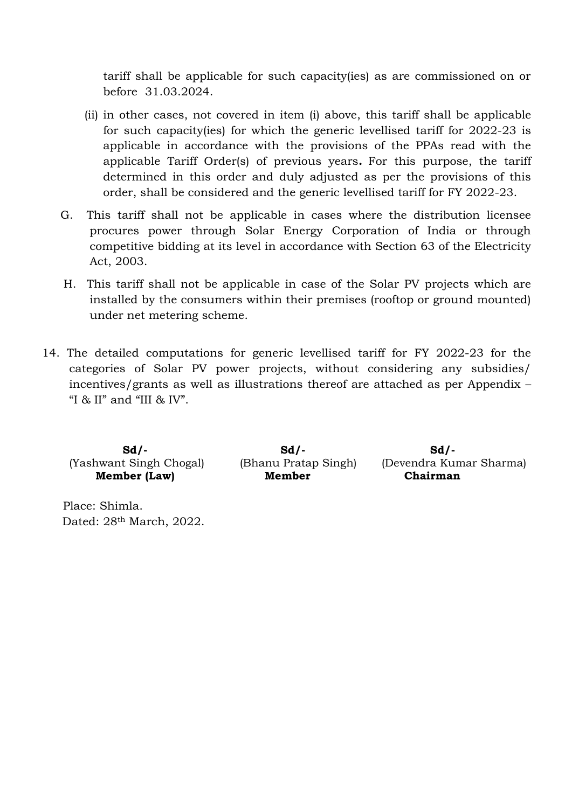tariff shall be applicable for such capacity(ies) as are commissioned on or before 31.03.2024.

- (ii) in other cases, not covered in item (i) above, this tariff shall be applicable for such capacity(ies) for which the generic levellised tariff for 2022-23 is applicable in accordance with the provisions of the PPAs read with the applicable Tariff Order(s) of previous years**.** For this purpose, the tariff determined in this order and duly adjusted as per the provisions of this order, shall be considered and the generic levellised tariff for FY 2022-23.
- G. This tariff shall not be applicable in cases where the distribution licensee procures power through Solar Energy Corporation of India or through competitive bidding at its level in accordance with Section 63 of the Electricity Act, 2003.
- H. This tariff shall not be applicable in case of the Solar PV projects which are installed by the consumers within their premises (rooftop or ground mounted) under net metering scheme.
- 14. The detailed computations for generic levellised tariff for FY 2022-23 for the categories of Solar PV power projects, without considering any subsidies/ incentives/grants as well as illustrations thereof are attached as per Appendix – "I  $\&$  II" and "III  $\&$  IV".

 **Sd/- Sd/- Sd/-**

**Member (Law) Member Chairman** 

(Yashwant Singh Chogal) (Bhanu Pratap Singh) (Devendra Kumar Sharma)

 Place: Shimla. Dated: 28th March, 2022.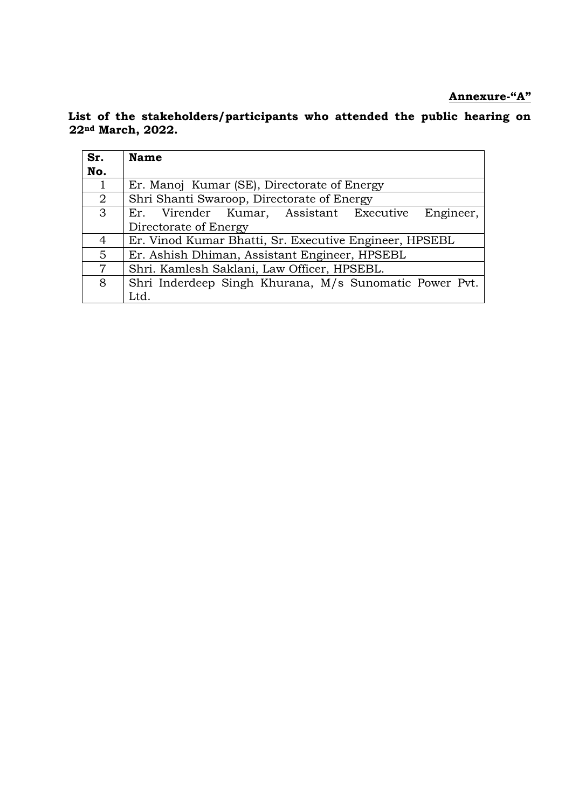**Annexure-"A"**

 **List of the stakeholders/participants who attended the public hearing on 22nd March, 2022.**

| Sr.            | <b>Name</b>                                            |  |  |  |  |  |  |  |  |  |  |
|----------------|--------------------------------------------------------|--|--|--|--|--|--|--|--|--|--|
| No.            |                                                        |  |  |  |  |  |  |  |  |  |  |
| $\mathbf{1}$   | Er. Manoj Kumar (SE), Directorate of Energy            |  |  |  |  |  |  |  |  |  |  |
| 2              | Shri Shanti Swaroop, Directorate of Energy             |  |  |  |  |  |  |  |  |  |  |
| 3              | Engineer,<br>Er. Virender Kumar, Assistant Executive   |  |  |  |  |  |  |  |  |  |  |
|                | Directorate of Energy                                  |  |  |  |  |  |  |  |  |  |  |
| 4              | Er. Vinod Kumar Bhatti, Sr. Executive Engineer, HPSEBL |  |  |  |  |  |  |  |  |  |  |
| $5^{\circ}$    | Er. Ashish Dhiman, Assistant Engineer, HPSEBL          |  |  |  |  |  |  |  |  |  |  |
| $\overline{7}$ | Shri. Kamlesh Saklani, Law Officer, HPSEBL.            |  |  |  |  |  |  |  |  |  |  |
| 8              | Shri Inderdeep Singh Khurana, M/s Sunomatic Power Pvt. |  |  |  |  |  |  |  |  |  |  |
|                | Ltd.                                                   |  |  |  |  |  |  |  |  |  |  |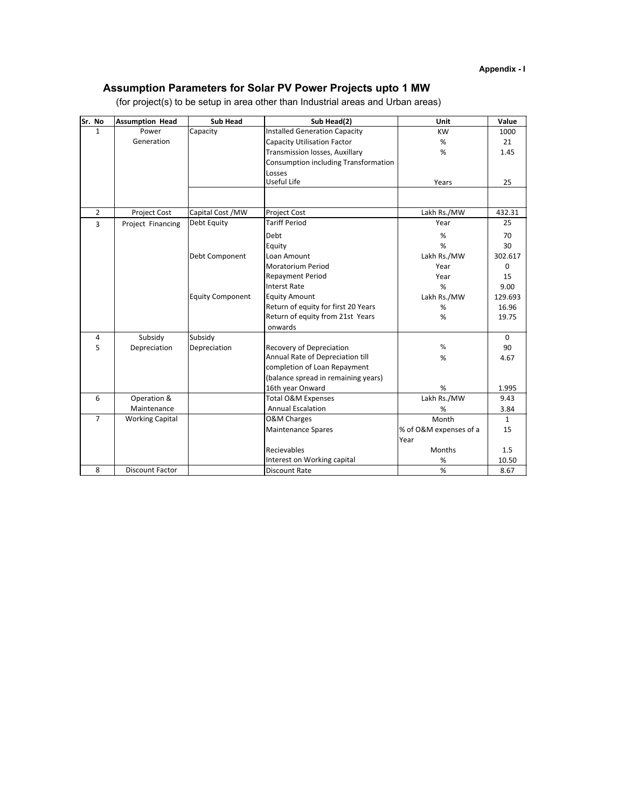### **Assumption Parameters for Solar PV Power Projects upto 1 MW**

| Sr. No         | <b>Assumption Head</b> | <b>Sub Head</b>         | $\overline{\text{Sub Head}}(2)$      | Unit                   | Value        |
|----------------|------------------------|-------------------------|--------------------------------------|------------------------|--------------|
| $\mathbf{1}$   | Power                  | Capacity                | <b>Installed Generation Capacity</b> | <b>KW</b>              | 1000         |
|                | Generation             |                         | <b>Capacity Utilisation Factor</b>   | %                      | 21           |
|                |                        |                         | Transmission losses, Auxillary       | %                      | 1.45         |
|                |                        |                         | Consumption including Transformation |                        |              |
|                |                        |                         | Losses                               |                        |              |
|                |                        |                         | Useful Life                          | Years                  | 25           |
|                |                        |                         |                                      |                        |              |
| $\overline{2}$ | <b>Project Cost</b>    | Capital Cost / MW       | Project Cost                         | Lakh Rs./MW            | 432.31       |
| $\overline{3}$ | Project Financing      | Debt Equity             | <b>Tariff Period</b>                 | Year                   | 25           |
|                |                        |                         | Debt                                 | %                      | 70           |
|                |                        |                         | Equity                               | %                      | 30           |
|                |                        | Debt Component          | Loan Amount                          | Lakh Rs./MW            | 302.617      |
|                |                        |                         | <b>Moratorium Period</b>             | Year                   | $\Omega$     |
|                |                        |                         | <b>Repayment Period</b>              | Year                   | 15           |
|                |                        |                         | <b>Interst Rate</b>                  | %                      | 9.00         |
|                |                        | <b>Equity Component</b> | <b>Equity Amount</b>                 | Lakh Rs./MW            | 129.693      |
|                |                        |                         | Return of equity for first 20 Years  | $\%$                   | 16.96        |
|                |                        |                         | Return of equity from 21st Years     | %                      | 19.75        |
|                |                        |                         | onwards                              |                        |              |
| 4              | Subsidy                | Subsidy                 |                                      |                        | $\Omega$     |
| 5              | Depreciation           | Depreciation            | <b>Recovery of Depreciation</b>      | $\%$                   | 90           |
|                |                        |                         | Annual Rate of Depreciation till     | %                      | 4.67         |
|                |                        |                         | completion of Loan Repayment         |                        |              |
|                |                        |                         | (balance spread in remaining years)  |                        |              |
|                |                        |                         | 16th year Onward                     | %                      | 1.995        |
| 6              | Operation &            |                         | Total O&M Expenses                   | Lakh Rs./MW            | 9.43         |
|                | Maintenance            |                         | <b>Annual Escalation</b>             | $\%$                   | 3.84         |
| $\overline{7}$ | <b>Working Capital</b> |                         | <b>O&amp;M Charges</b>               | Month                  | $\mathbf{1}$ |
|                |                        |                         | <b>Maintenance Spares</b>            | % of O&M expenses of a | 15           |
|                |                        |                         |                                      | Year                   |              |
|                |                        |                         | Recievables                          | Months                 | 1.5          |
|                |                        |                         | Interest on Working capital          | $\%$                   | 10.50        |
| 8              | <b>Discount Factor</b> |                         | <b>Discount Rate</b>                 | %                      | 8.67         |

(for project(s) to be setup in area other than Industrial areas and Urban areas)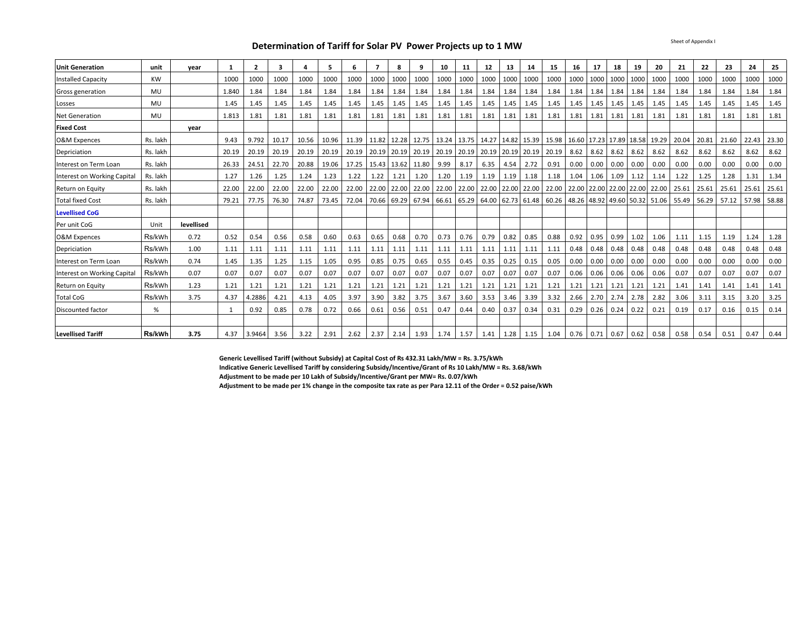#### **Determination of Tariff for Solar PV Power Projects up to 1 MW**

| <b>Unit Generation</b>      | unit      | year       | 1     | $\overline{2}$ | 3     |       | 5     | 6     |       | 8     | 9     | 10          | 11          | 12          | 13   | 14                | 15                                                          | 16   | 17                      | 18          | 19   | 20    | 21    | 22    | 23    | 24          | 25    |
|-----------------------------|-----------|------------|-------|----------------|-------|-------|-------|-------|-------|-------|-------|-------------|-------------|-------------|------|-------------------|-------------------------------------------------------------|------|-------------------------|-------------|------|-------|-------|-------|-------|-------------|-------|
| <b>Installed Capacity</b>   | <b>KW</b> |            | 1000  | 1000           | 1000  | 1000  | 1000  | 1000  | 1000  | 1000  | 1000  | 1000        | 1000        | 1000        | 1000 | 1000              | 1000                                                        | 1000 | 1000                    | 1000        | 1000 | 1000  | 1000  | 1000  | 1000  | 1000        | 1000  |
| Gross generation            | MU        |            | 1.840 | 1.84           | 1.84  | 1.84  | 1.84  | 1.84  | 1.84  | 1.84  | 1.84  | 1.84        | 1.84        | 1.84        | 1.84 | 1.84              | 1.84                                                        | 1.84 | 1.84                    | 1.84        | 1.84 | 1.84  | 1.84  | 1.84  | 1.84  | 1.84        | 1.84  |
| Losses                      | MU        |            | 1.45  | 1.45           | 1.45  | 1.45  | 1.45  | 1.45  | 1.45  | 1.45  | 1.45  | 1.45        | 1.45        | 1.45        | 1.45 | 1.45              | 1.45                                                        | 1.45 | 1.45                    | 1.45        | 1.45 | 1.45  | 1.45  | 1.45  | 1.45  | 1.45        | 1.45  |
| Net Generation              | MU        |            | 1.813 | 1.81           | 1.81  | 1.81  | 1.81  | 1.81  | 1.81  | 1.81  | 1.81  | 1.81        | 1.81        | 1.81        | 1.81 | 1.81              | 1.81                                                        | 1.81 | 1.81                    | 1.81        | 1.81 | 1.81  | 1.81  | 1.81  | 1.81  | 1.81        | 1.81  |
| <b>Fixed Cost</b>           |           | year       |       |                |       |       |       |       |       |       |       |             |             |             |      |                   |                                                             |      |                         |             |      |       |       |       |       |             |       |
| <b>O&amp;M Expences</b>     | Rs. lakh  |            | 9.43  | 9.792          | 10.17 | 10.56 | 10.96 | 11.39 | 11.82 | 12.28 | 12.75 | 13.24 13.75 |             |             |      | 14.27 14.82 15.39 | 15.98                                                       |      | 16.60 17.23 17.89 18.58 |             |      | 19.29 | 20.04 | 20.81 | 21.60 | 22.43       | 23.30 |
| Depriciation                | Rs. lakh  |            | 20.19 | 20.19          | 20.19 | 20.19 | 20.19 | 20.19 | 20.19 | 20.19 | 20.19 | 20.19 20.19 |             |             |      | 20.19 20.19 20.19 | 20.19                                                       | 8.62 | 8.62                    | 8.62 8.62   |      | 8.62  | 8.62  | 8.62  | 8.62  | 8.62        | 8.62  |
| Interest on Term Loan       | Rs. lakh  |            | 26.33 | 24.51          | 22.70 | 20.88 | 19.06 | 17.25 | 15.43 | 13.62 | 11.80 | 9.99        | 8.17        | 6.35        | 4.54 | 2.72              | 0.91                                                        | 0.00 | 0.00                    | 0.00        | 0.00 | 0.00  | 0.00  | 0.00  | 0.00  | 0.00        | 0.00  |
| Interest on Working Capital | Rs. lakh  |            | 1.27  | 1.26           | 1.25  | 1.24  | 1.23  | 1.22  | 1.22  | 1.21  | 1.20  | 1.20        | 1.19        | 1.19        | 1.19 | 1.18              | 1.18                                                        | 1.04 | 1.06                    | $1.09$ 1.12 |      | 1.14  | 1.22  | 1.25  | 1.28  | 1.31        | 1.34  |
| Return on Equity            | Rs. lakh  |            | 22.00 | 22.00          | 22.00 | 22.00 | 22.00 | 22.00 | 22.00 | 22.00 | 22.00 | 22.00       | 22.00       | 22.00 22.00 |      | 22.00             | 22.00                                                       |      | 22.00 22.00 22.00 22.00 |             |      | 22.00 | 25.61 | 25.61 | 25.61 | 25.61       | 25.61 |
| <b>Total fixed Cost</b>     | Rs. lakh  |            | 79.21 | 77.75          | 76.30 | 74.87 | 73.45 | 72.04 | 70.66 | 69.29 | 67.94 | 66.61 65.29 |             |             |      |                   | 64.00 62.73 61.48 60.26 48.26 48.92 49.60 50.32 51.06 55.49 |      |                         |             |      |       |       | 56.29 | 57.12 | 57.98 58.88 |       |
| <b>Levellised CoG</b>       |           |            |       |                |       |       |       |       |       |       |       |             |             |             |      |                   |                                                             |      |                         |             |      |       |       |       |       |             |       |
| Per unit CoG                | Unit      | levellised |       |                |       |       |       |       |       |       |       |             |             |             |      |                   |                                                             |      |                         |             |      |       |       |       |       |             |       |
| O&M Expences                | Rs/kWh    | 0.72       | 0.52  | 0.54           | 0.56  | 0.58  | 0.60  | 0.63  | 0.65  | 0.68  | 0.70  | 0.73        | 0.76        | 0.79        | 0.82 | 0.85              | 0.88                                                        | 0.92 |                         | 0.95 0.99   | 1.02 | 1.06  | 1.11  | 1.15  | 1.19  | 1.24        | 1.28  |
| Depriciation                | Rs/kWh    | 1.00       | 1.11  | 1.11           | 1.11  | 1.11  | 1.11  | 1.11  | 1.11  | 1.11  | 1.11  | 1.11        | 1.11        | 1.11        | 1.11 | 1.11              | 1.11                                                        | 0.48 | 0.48                    | 0.48        | 0.48 | 0.48  | 0.48  | 0.48  | 0.48  | 0.48        | 0.48  |
| Interest on Term Loan       | Rs/kWh    | 0.74       | 1.45  | 1.35           | 1.25  | 1.15  | 1.05  | 0.95  | 0.85  | 0.75  | 0.65  | 0.55        | 0.45        | 0.35        | 0.25 | 0.15              | 0.05                                                        | 0.00 | 0.00                    | 0.00        | 0.00 | 0.00  | 0.00  | 0.00  | 0.00  | 0.00        | 0.00  |
| Interest on Working Capital | Rs/kWh    | 0.07       | 0.07  | 0.07           | 0.07  | 0.07  | 0.07  | 0.07  | 0.07  | 0.07  | 0.07  | 0.07        | 0.07        | 0.07        | 0.07 | 0.07              | 0.07                                                        | 0.06 | 0.06                    | 0.06        | 0.06 | 0.06  | 0.07  | 0.07  | 0.07  | 0.07        | 0.07  |
| Return on Equity            | Rs/kWh    | 1.23       | 1.21  | 1.21           | 1.21  | 1.21  | 1.21  | 1.21  | 1.21  | 1.21  | 1.21  | 1.21        | 1.21        | 1.21        | 1.21 | 1.21              | 1.21                                                        | 1.21 | 1.21                    | 1.21        | 1.21 | 1.21  | 1.41  | 1.41  | 1.41  | 1.41        | 1.41  |
| <b>Total CoG</b>            | Rs/kWh    | 3.75       | 4.37  | 4.2886         | 4.21  | 4.13  | 4.05  | 3.97  | 3.90  | 3.82  | 3.75  | 3.67        | 3.60        | 3.53        | 3.46 | 3.39              | 3.32                                                        | 2.66 | 2.70                    | 2.74        | 2.78 | 2.82  | 3.06  | 3.11  | 3.15  | 3.20        | 3.25  |
| Discounted factor           | %         |            |       | 0.92           | 0.85  | 0.78  | 0.72  | 0.66  | 0.61  | 0.56  | 0.51  | 0.47        | 0.44        | 0.40        | 0.37 | 0.34              | 0.31                                                        | 0.29 | 0.26                    | $0.24$ 0.22 |      | 0.21  | 0.19  | 0.17  | 0.16  | 0.15        | 0.14  |
|                             |           |            |       |                |       |       |       |       |       |       |       |             |             |             |      |                   |                                                             |      |                         |             |      |       |       |       |       |             |       |
| <b>Levellised Tariff</b>    | Rs/kWh    | 3.75       | 4.37  | 3.9464         | 3.56  | 3.22  | 2.91  | 2.62  | 2.37  | 2.14  | 1.93  |             | $1.74$ 1.57 | 1.41 1.28   |      | 1.15              | 1.04                                                        |      | $0.76$ 0.71 0.67 0.62   |             |      | 0.58  | 0.58  | 0.54  | 0.51  | 0.47        | 0.44  |

**Generic Levellised Tariff (without Subsidy) at Capital Cost of Rs 432.31 Lakh/MW = Rs. 3.75/kWh**

**Indicative Generic Levellised Tariff by considering Subsidy/Incentive/Grant of Rs 10 Lakh/MW = Rs. 3.68/kWh**

**Adjustment to be made per 10 Lakh of Subsidy/Incentive/Grant per MW= Rs. 0.07/kWh**

**Adjustment to be made per 1% change in the composite tax rate as per Para 12.11 of the Order = 0.52 paise/kWh**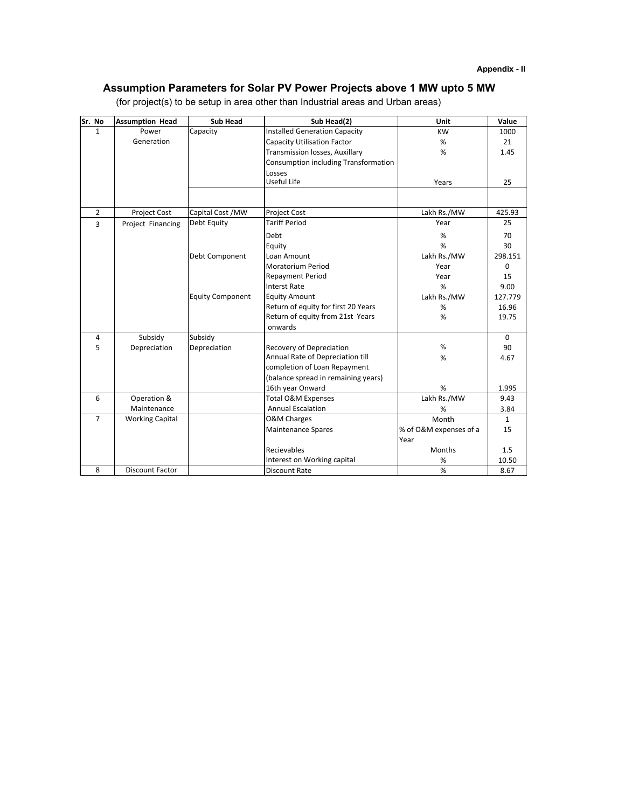### **Assumption Parameters for Solar PV Power Projects above 1 MW upto 5 MW**

| Sr. No         | <b>Assumption Head</b> | <b>Sub Head</b>         | Sub Head(2)                          | Unit                   | Value        |
|----------------|------------------------|-------------------------|--------------------------------------|------------------------|--------------|
| $\mathbf{1}$   | Power                  | Capacity                | <b>Installed Generation Capacity</b> | <b>KW</b>              | 1000         |
|                | Generation             |                         | <b>Capacity Utilisation Factor</b>   | %                      | 21           |
|                |                        |                         | Transmission losses, Auxillary       | %                      | 1.45         |
|                |                        |                         | Consumption including Transformation |                        |              |
|                |                        |                         | Losses                               |                        |              |
|                |                        |                         | Useful Life                          | Years                  | 25           |
|                |                        |                         |                                      |                        |              |
| $\overline{2}$ | Project Cost           | Capital Cost / MW       | Project Cost                         | Lakh Rs./MW            | 425.93       |
| $\overline{3}$ | Project Financing      | Debt Equity             | <b>Tariff Period</b>                 | Year                   | 25           |
|                |                        |                         | Debt                                 | %                      | 70           |
|                |                        |                         | Equity                               | %                      | 30           |
|                |                        | Debt Component          | Loan Amount                          | Lakh Rs./MW            | 298.151      |
|                |                        |                         | <b>Moratorium Period</b>             | Year                   | $\Omega$     |
|                |                        |                         | <b>Repayment Period</b>              | Year                   | 15           |
|                |                        |                         | <b>Interst Rate</b>                  | %                      | 9.00         |
|                |                        | <b>Equity Component</b> | <b>Equity Amount</b>                 | Lakh Rs./MW            | 127.779      |
|                |                        |                         | Return of equity for first 20 Years  | %                      | 16.96        |
|                |                        |                         | Return of equity from 21st Years     | %                      | 19.75        |
|                |                        |                         | onwards                              |                        |              |
| 4              | Subsidy                | Subsidy                 |                                      |                        | $\Omega$     |
| 5              | Depreciation           | Depreciation            | <b>Recovery of Depreciation</b>      | $\%$                   | 90           |
|                |                        |                         | Annual Rate of Depreciation till     | %                      | 4.67         |
|                |                        |                         | completion of Loan Repayment         |                        |              |
|                |                        |                         | (balance spread in remaining years)  |                        |              |
|                |                        |                         | 16th year Onward                     | $\%$                   | 1.995        |
| 6              | Operation &            |                         | Total O&M Expenses                   | Lakh Rs./MW            | 9.43         |
|                | Maintenance            |                         | <b>Annual Escalation</b>             | $\%$                   | 3.84         |
| $\overline{7}$ | <b>Working Capital</b> |                         | <b>O&amp;M Charges</b>               | Month                  | $\mathbf{1}$ |
|                |                        |                         | <b>Maintenance Spares</b>            | % of O&M expenses of a | 15           |
|                |                        |                         |                                      | Year                   |              |
|                |                        |                         | Recievables                          | Months                 | 1.5          |
|                |                        |                         | Interest on Working capital          | $\%$                   | 10.50        |
| 8              | <b>Discount Factor</b> |                         | <b>Discount Rate</b>                 | %                      | 8.67         |

(for project(s) to be setup in area other than Industrial areas and Urban areas)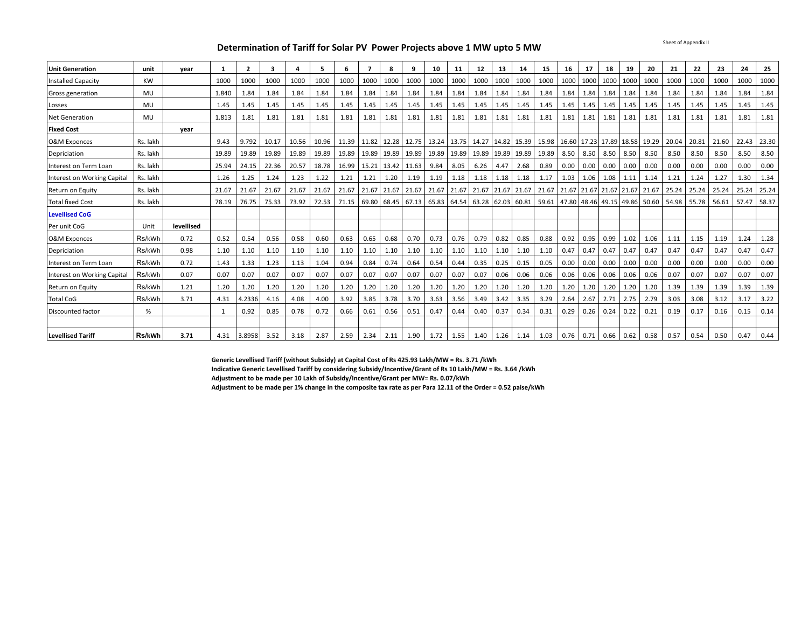Sheet of Appendix II

#### **Determination of Tariff for Solar PV Power Projects above 1 MW upto 5 MW**

| <b>Unit Generation</b>      | unit      | vear       | 1     |        | 3     |       | 5     | 6     | $\overline{ }$ | 8    | 9                       | 10          | 11   | 12                                                                                                    | 13   | -14                     | 15                      | 16   | 17   | 18                            | 19   | 20                            | 21    | 22    | 23    | 24    | 25    |
|-----------------------------|-----------|------------|-------|--------|-------|-------|-------|-------|----------------|------|-------------------------|-------------|------|-------------------------------------------------------------------------------------------------------|------|-------------------------|-------------------------|------|------|-------------------------------|------|-------------------------------|-------|-------|-------|-------|-------|
| <b>Installed Capacity</b>   | <b>KW</b> |            | 1000  | 1000   | 1000  | 1000  | 1000  | 1000  | 1000           | 1000 | 1000                    | 1000        | 1000 | 1000                                                                                                  | 1000 | 1000                    | 1000                    | 1000 | 1000 | 1000                          | 1000 | 1000                          | 1000  | 1000  | 1000  | 1000  | 1000  |
| Gross generation            | MU        |            | 1.840 | 1.84   | 1.84  | 1.84  | 1.84  | 1.84  | 1.84           | 1.84 | 1.84                    | 1.84        | 1.84 | 1.84                                                                                                  | 1.84 | 1.84                    | 1.84                    | 1.84 | 1.84 | 1.84                          | 1.84 | 1.84                          | 1.84  | 1.84  | 1.84  | 1.84  | 1.84  |
| Losses                      | MU        |            | 1.45  | 1.45   | 1.45  | 1.45  | 1.45  | 1.45  | 1.45           | 1.45 | 1.45                    | 1.45        | 1.45 | 1.45                                                                                                  | 1.45 | 1.45                    | 1.45                    | 1.45 | 1.45 | 1.45 1.45                     |      | 1.45                          | 1.45  | 1.45  | 1.45  | 1.45  | 1.45  |
| <b>Net Generation</b>       | MU        |            | 1.813 | 1.81   | 1.81  | 1.81  | 1.81  | 1.81  | 1.81           | 1.81 | 1.81                    | 1.81        | 1.81 | 1.81                                                                                                  | 1.81 | 1.81                    | 1.81                    | 1.81 | 1.81 | 1.81 1.81                     |      | 1.81                          | 1.81  | 1.81  | 1.81  | 1.81  | 1.81  |
| <b>Fixed Cost</b>           |           | vear       |       |        |       |       |       |       |                |      |                         |             |      |                                                                                                       |      |                         |                         |      |      |                               |      |                               |       |       |       |       |       |
| <b>O&amp;M Expences</b>     | Rs. lakh  |            | 9.43  | 9.792  | 10.17 | 10.56 | 10.96 |       | 11.39 11.82    |      | 12.28 12.75 13.24 13.75 |             |      |                                                                                                       |      |                         | 14.27 14.82 15.39 15.98 |      |      |                               |      | 16.60 17.23 17.89 18.58 19.29 | 20.04 | 20.81 | 21.60 | 22.43 | 23.30 |
| Depriciation                | Rs. lakh  |            | 19.89 | 19.89  | 19.89 | 19.89 | 19.89 | 19.89 | 19.89          |      | 19.89 19.89 19.89 19.89 |             |      |                                                                                                       |      | 19.89 19.89 19.89 19.89 |                         |      |      | 8.50 8.50 8.50 8.50           |      | 8.50                          | 8.50  | 8.50  | 8.50  | 8.50  | 8.50  |
| Interest on Term Loan       | Rs. lakh  |            | 25.94 | 24.15  | 22.36 | 20.57 | 18.78 | 16.99 | 15.21          |      | 13.42 11.63             | 9.84        | 8.05 | 6.26                                                                                                  | 4.47 | 2.68                    | 0.89                    | 0.00 | 0.00 | $0.00 \quad 0.00$             |      | 0.00                          | 0.00  | 0.00  | 0.00  | 0.00  | 0.00  |
| Interest on Working Capital | Rs. lakh  |            | 1.26  | 1.25   | 1.24  | 1.23  | 1.22  | 1.21  | 1.21           | 1.20 | 1.19                    | 1.19        | 1.18 | 1.18                                                                                                  | 1.18 | 1.18                    | 1.17                    | 1.03 | 1.06 | 1.08 1.11                     |      | 1.14                          | 1.21  | 1.24  | 1.27  | 1.30  | 1.34  |
| Return on Equity            | Rs. lakh  |            | 21.67 | 21.67  | 21.67 | 21.67 | 21.67 |       | 21.67 21.67    |      | 21.67 21.67             | 21.67 21.67 |      | 21.67 21.67 21.67 21.67                                                                               |      |                         |                         |      |      | 21.67 21.67 21.67 21.67 21.67 |      |                               | 25.24 | 25.24 | 25.24 | 25.24 | 25.24 |
| <b>Total fixed Cost</b>     | Rs. lakh  |            | 78.19 | 76.75  | 75.33 | 73.92 | 72.53 | 71.15 | 69.80          |      |                         |             |      | 68.45   67.13   65.83   64.54   63.28   62.03   60.81   59.61   47.80   48.46   49.15   49.86   50.60 |      |                         |                         |      |      |                               |      |                               | 54.98 | 55.78 | 56.61 | 57.47 | 58.37 |
| <b>Levellised CoG</b>       |           |            |       |        |       |       |       |       |                |      |                         |             |      |                                                                                                       |      |                         |                         |      |      |                               |      |                               |       |       |       |       |       |
| Per unit CoG                | Unit      | levellised |       |        |       |       |       |       |                |      |                         |             |      |                                                                                                       |      |                         |                         |      |      |                               |      |                               |       |       |       |       |       |
| <b>O&amp;M Expences</b>     | Rs/kWh    | 0.72       | 0.52  | 0.54   | 0.56  | 0.58  | 0.60  | 0.63  | 0.65           | 0.68 | 0.70                    | 0.73        | 0.76 | 0.79                                                                                                  | 0.82 | 0.85                    | 0.88                    | 0.92 | 0.95 | 0.99                          | 1.02 | 1.06                          | 1.11  | 1.15  | 1.19  | 1.24  | 1.28  |
| Depriciation                | Rs/kWh    | 0.98       | 1.10  | 1.10   | 1.10  | 1.10  | 1.10  | 1.10  | 1.10           | 1.10 | 1.10                    | 1.10        | 1.10 | 1.10                                                                                                  | 1.10 | 1.10                    | 1.10                    | 0.47 | 0.47 | $0.47$ 0.47                   |      | 0.47                          | 0.47  | 0.47  | 0.47  | 0.47  | 0.47  |
| Interest on Term Loan       | Rs/kWh    | 0.72       | 1.43  | 1.33   | 1.23  | 1.13  | 1.04  | 0.94  | 0.84           | 0.74 | 0.64                    | 0.54        | 0.44 | 0.35                                                                                                  | 0.25 | 0.15                    | 0.05                    | 0.00 | 0.00 | $0.00 \quad 0.00$             |      | 0.00                          | 0.00  | 0.00  | 0.00  | 0.00  | 0.00  |
| Interest on Working Capital | Rs/kWh    | 0.07       | 0.07  | 0.07   | 0.07  | 0.07  | 0.07  | 0.07  | 0.07           | 0.07 | 0.07                    | 0.07        | 0.07 | 0.07                                                                                                  | 0.06 | 0.06                    | 0.06                    | 0.06 | 0.06 | $0.06$ 0.06                   |      | 0.06                          | 0.07  | 0.07  | 0.07  | 0.07  | 0.07  |
| Return on Equity            | Rs/kWh    | 1.21       | 1.20  | 1.20   | 1.20  | 1.20  | 1.20  | 1.20  | 1.20           | 1.20 | 1.20                    | 1.20        | 1.20 | 1.20                                                                                                  | 1.20 | 1.20                    | 1.20                    | 1.20 | 1.20 | 1.20                          | 1.20 | 1.20                          | 1.39  | 1.39  | 1.39  | 1.39  | 1.39  |
| <b>Total CoG</b>            | Rs/kWh    | 3.71       | 4.31  | 4.2336 | 4.16  | 4.08  | 4.00  | 3.92  | 3.85           | 3.78 | 3.70                    | 3.63        | 3.56 | 3.49                                                                                                  | 3.42 | 3.35                    | 3.29                    | 2.64 | 2.67 | 2.71                          | 2.75 | 2.79                          | 3.03  | 3.08  | 3.12  | 3.17  | 3.22  |
| Discounted factor           | %         |            |       | 0.92   | 0.85  | 0.78  | 0.72  | 0.66  | 0.61           | 0.56 | 0.51                    | 0.47        | 0.44 | 0.40                                                                                                  | 0.37 | 0.34                    | 0.31                    | 0.29 | 0.26 | $0.24$ 0.22                   |      | 0.21                          | 0.19  | 0.17  | 0.16  | 0.15  | 0.14  |
|                             |           |            |       |        |       |       |       |       |                |      |                         |             |      |                                                                                                       |      |                         |                         |      |      |                               |      |                               |       |       |       |       |       |
| <b>Levellised Tariff</b>    | Rs/kWh    | 3.71       | 4.31  | 3.8958 | 3.52  | 3.18  | 2.87  | 2.59  | 2.34           | 2.11 | 1.90                    | 1.72        | 1.55 | 1.40                                                                                                  |      | 1.26 1.14               | 1.03                    |      |      | $0.76$   0.71   0.66   0.62   |      | 0.58                          | 0.57  | 0.54  | 0.50  | 0.47  | 0.44  |

**Generic Levellised Tariff (without Subsidy) at Capital Cost of Rs 425.93 Lakh/MW = Rs. 3.71 /kWh**

**Indicative Generic Levellised Tariff by considering Subsidy/Incentive/Grant of Rs 10 Lakh/MW = Rs. 3.64 /kWh**

**Adjustment to be made per 10 Lakh of Subsidy/Incentive/Grant per MW= Rs. 0.07/kWh**

**Adjustment to be made per 1% change in the composite tax rate as per Para 12.11 of the Order = 0.52 paise/kWh**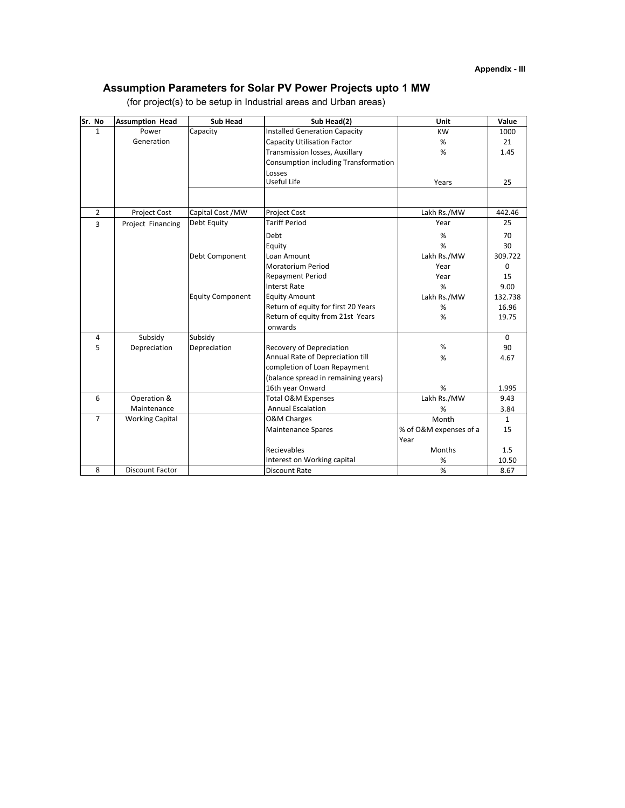### **Assumption Parameters for Solar PV Power Projects upto 1 MW**

| Sr. No         | <b>Assumption Head</b> | <b>Sub Head</b>         | Sub Head(2)                          | Unit                   | Value        |
|----------------|------------------------|-------------------------|--------------------------------------|------------------------|--------------|
| $\mathbf{1}$   | Power                  | Capacity                | <b>Installed Generation Capacity</b> | <b>KW</b>              | 1000         |
|                | Generation             |                         | <b>Capacity Utilisation Factor</b>   | %                      | 21           |
|                |                        |                         | Transmission losses, Auxillary       | %                      | 1.45         |
|                |                        |                         | Consumption including Transformation |                        |              |
|                |                        |                         | Losses                               |                        |              |
|                |                        |                         | Useful Life                          | Years                  | 25           |
|                |                        |                         |                                      |                        |              |
| $\overline{2}$ | Project Cost           | Capital Cost / MW       | Project Cost                         | Lakh Rs./MW            | 442.46       |
| 3              | Project Financing      | Debt Equity             | <b>Tariff Period</b>                 | Year                   | 25           |
|                |                        |                         | Debt                                 | %                      | 70           |
|                |                        |                         | Equity                               | %                      | 30           |
|                |                        | Debt Component          | Loan Amount                          | Lakh Rs./MW            | 309.722      |
|                |                        |                         | <b>Moratorium Period</b>             | Year                   | $\Omega$     |
|                |                        |                         | <b>Repayment Period</b>              | Year                   | 15           |
|                |                        |                         | <b>Interst Rate</b>                  | %                      | 9.00         |
|                |                        | <b>Equity Component</b> | <b>Equity Amount</b>                 | Lakh Rs./MW            | 132.738      |
|                |                        |                         | Return of equity for first 20 Years  | $\%$                   | 16.96        |
|                |                        |                         | Return of equity from 21st Years     | %                      | 19.75        |
|                |                        |                         | onwards                              |                        |              |
| 4              | Subsidy                | Subsidy                 |                                      |                        | $\mathbf 0$  |
| 5              | Depreciation           | Depreciation            | <b>Recovery of Depreciation</b>      | $\frac{0}{0}$          | 90           |
|                |                        |                         | Annual Rate of Depreciation till     | %                      | 4.67         |
|                |                        |                         | completion of Loan Repayment         |                        |              |
|                |                        |                         | (balance spread in remaining years)  |                        |              |
|                |                        |                         | 16th year Onward                     | %                      | 1.995        |
| 6              | Operation &            |                         | Total O&M Expenses                   | Lakh Rs./MW            | 9.43         |
|                | Maintenance            |                         | <b>Annual Escalation</b>             | %                      | 3.84         |
| $\overline{7}$ | <b>Working Capital</b> |                         | <b>O&amp;M Charges</b>               | Month                  | $\mathbf{1}$ |
|                |                        |                         | <b>Maintenance Spares</b>            | % of O&M expenses of a | 15           |
|                |                        |                         |                                      | Year                   |              |
|                |                        |                         | Recievables                          | Months                 | 1.5          |
|                |                        |                         | Interest on Working capital          | $\%$                   | 10.50        |
| 8              | <b>Discount Factor</b> |                         | <b>Discount Rate</b>                 | %                      | 8.67         |

(for project(s) to be setup in Industrial areas and Urban areas)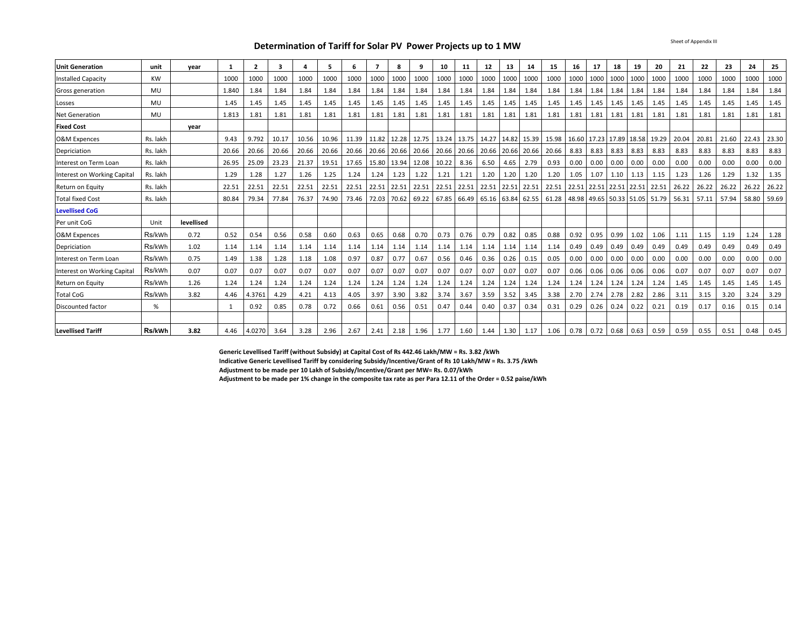**Determination of Tariff for Solar PV Power Projects up to 1 MW**

| <b>Unit Generation</b>      | unit      | year       | $\mathbf{1}$ | $\overline{2}$ | 3     |       | 5.    | 6     | $\overline{7}$                      | 8           | 9                 | 10          | 11   | 12                                                    | 13          | 14                                                                    | 15   | 16   | 17                          | 18        | 19   | 20                                    | 21    | 22    | 23    | 24          | 25    |
|-----------------------------|-----------|------------|--------------|----------------|-------|-------|-------|-------|-------------------------------------|-------------|-------------------|-------------|------|-------------------------------------------------------|-------------|-----------------------------------------------------------------------|------|------|-----------------------------|-----------|------|---------------------------------------|-------|-------|-------|-------------|-------|
| <b>Installed Capacity</b>   | <b>KW</b> |            | 1000         | 1000           | 1000  | 1000  | 1000  | 1000  | 1000                                | 1000        | 1000              | 1000        | 1000 | 1000                                                  | 1000        | 1000                                                                  | 1000 | 1000 | 1000                        | 1000      | 1000 | 1000                                  | 1000  | 1000  | 1000  | 1000        | 1000  |
| Gross generation            | MU        |            | 1.840        | 1.84           | 1.84  | 1.84  | 1.84  | 1.84  | 1.84                                | 1.84        | 1.84              | 1.84        | 1.84 | 1.84                                                  | 1.84        | 1.84                                                                  | 1.84 | 1.84 | 1.84                        | 1.84      | 1.84 | 1.84                                  | 1.84  | 1.84  | 1.84  | 1.84        | 1.84  |
| Losses                      | MU        |            | 1.45         | 1.45           | 1.45  | 1.45  | 1.45  | 1.45  | 1.45                                | 1.45        | 1.45              | 1.45        | 1.45 | 1.45                                                  | 1.45        | 1.45                                                                  | 1.45 | 1.45 | 1.45                        | 1.45      | 1.45 | 1.45                                  | 1.45  | 1.45  | 1.45  | 1.45        | 1.45  |
| <b>Net Generation</b>       | MU        |            | 1.813        | 1.81           | 1.81  | 1.81  | 1.81  | 1.81  | 1.81                                | 1.81        | 1.81              | 1.81        | 1.81 | 1.81                                                  | 1.81        | 1.81                                                                  | 1.81 | 1.81 | 1.81                        | 1.81      | 1.81 | 1.81                                  | 1.81  | 1.81  | 1.81  | 1.81        | 1.81  |
| <b>Fixed Cost</b>           |           | year       |              |                |       |       |       |       |                                     |             |                   |             |      |                                                       |             |                                                                       |      |      |                             |           |      |                                       |       |       |       |             |       |
| <b>O&amp;M Expences</b>     | Rs. lakh  |            | 9.43         | 9.792          | 10.17 | 10.56 | 10.96 | 11.39 |                                     | 11.82 12.28 |                   |             |      | 12.75   13.24   13.75   14.27   14.82   15.39   15.98 |             |                                                                       |      |      | 16.60 17.23 17.89 18.58     |           |      | 19.29                                 | 20.04 | 20.81 | 21.60 | 22.43       | 23.30 |
| Depriciation                | Rs. lakh  |            | 20.66        | 20.66          | 20.66 | 20.66 | 20.66 |       | 20.66 20.66 20.66                   |             | 20.66 20.66 20.66 |             |      |                                                       |             | 20.66 20.66 20.66 20.66                                               |      | 8.83 | 8.83                        | 8.83 8.83 |      | 8.83                                  | 8.83  | 8.83  | 8.83  | 8.83        | 8.83  |
| Interest on Term Loan       | Rs. lakh  |            | 26.95        | 25.09          | 23.23 | 21.37 | 19.51 | 17.65 |                                     | 15.80 13.94 | 12.08             | 10.22       | 8.36 | 6.50                                                  | 4.65        | 2.79                                                                  | 0.93 | 0.00 | 0.00                        | 0.00      | 0.00 | 0.00                                  | 0.00  | 0.00  | 0.00  | 0.00        | 0.00  |
| Interest on Working Capital | Rs. lakh  |            | 1.29         | 1.28           | 1.27  | 1.26  | 1.25  | 1.24  | 1.24                                | 1.23        | 1.22              | 1.21        | 1.21 | 1.20                                                  | 1.20        | 1.20                                                                  | 1.20 | 1.05 | 1.07                        | 1.10      | 1.13 | 1.15                                  | 1.23  | 1.26  | 1.29  | 1.32        | 1.35  |
| Return on Equity            | Rs. lakh  |            | 22.51        | 22.51          | 22.51 | 22.51 | 22.51 |       | 22.51 22.51 22.51 22.51 22.51 22.51 |             |                   |             |      |                                                       |             | 22.51   22.51   22.51   22.51   22.51   22.51   22.51   22.51   22.51 |      |      |                             |           |      |                                       | 26.22 | 26.22 | 26.22 | 26.22       | 26.22 |
| <b>Total fixed Cost</b>     | Rs. lakh  |            | 80.84        | 79.34          | 77.84 | 76.37 | 74.90 | 73.46 |                                     | 72.03 70.62 | 69.22             | 67.85 66.49 |      |                                                       |             | 65.16 63.84 62.55 61.28                                               |      |      |                             |           |      | 48.98   49.65   50.33   51.05   51.79 | 56.31 | 57.11 | 57.94 | 58.80 59.69 |       |
| <b>Levellised CoG</b>       |           |            |              |                |       |       |       |       |                                     |             |                   |             |      |                                                       |             |                                                                       |      |      |                             |           |      |                                       |       |       |       |             |       |
| Per unit CoG                | Unit      | levellised |              |                |       |       |       |       |                                     |             |                   |             |      |                                                       |             |                                                                       |      |      |                             |           |      |                                       |       |       |       |             |       |
| <b>O&amp;M Expences</b>     | Rs/kWh    | 0.72       | 0.52         | 0.54           | 0.56  | 0.58  | 0.60  | 0.63  | 0.65                                | 0.68        | 0.70              | 0.73        | 0.76 | 0.79                                                  | 0.82        | 0.85                                                                  | 0.88 | 0.92 | 0.95                        | 0.99      | 1.02 | 1.06                                  | 1.11  | 1.15  | 1.19  | 1.24        | 1.28  |
| Depriciation                | Rs/kWh    | 1.02       | 1.14         | 1.14           | 1.14  | 1.14  | 1.14  | 1.14  | 1.14                                | 1.14        | 1.14              | 1.14        | 1.14 | 1.14                                                  | 1.14        | 1.14                                                                  | 1.14 | 0.49 | 0.49                        | 0.49      | 0.49 | 0.49                                  | 0.49  | 0.49  | 0.49  | 0.49        | 0.49  |
| Interest on Term Loan       | Rs/kWh    | 0.75       | 1.49         | 1.38           | 1.28  | 1.18  | 1.08  | 0.97  | 0.87                                | 0.77        | 0.67              | 0.56        | 0.46 | 0.36                                                  | 0.26        | 0.15                                                                  | 0.05 | 0.00 | 0.00                        | 0.00      | 0.00 | 0.00                                  | 0.00  | 0.00  | 0.00  | 0.00        | 0.00  |
| Interest on Working Capital | Rs/kWh    | 0.07       | 0.07         | 0.07           | 0.07  | 0.07  | 0.07  | 0.07  | 0.07                                | 0.07        | 0.07              | 0.07        | 0.07 | 0.07                                                  | 0.07        | 0.07                                                                  | 0.07 | 0.06 | 0.06                        | 0.06      | 0.06 | 0.06                                  | 0.07  | 0.07  | 0.07  | 0.07        | 0.07  |
| Return on Equity            | Rs/kWh    | 1.26       | 1.24         | 1.24           | 1.24  | 1.24  | 1.24  | 1.24  | 1.24                                | 1.24        | 1.24              | 1.24        | 1.24 | 1.24                                                  | 1.24        | 1.24                                                                  | 1.24 | 1.24 | 1.24                        | 1.24      | 1.24 | 1.24                                  | 1.45  | 1.45  | 1.45  | 1.45        | 1.45  |
| <b>Total CoG</b>            | Rs/kWh    | 3.82       | 4.46         | 4.3761         | 4.29  | 4.21  | 4.13  | 4.05  | 3.97                                | 3.90        | 3.82              | 3.74        | 3.67 | 3.59                                                  | 3.52        | 3.45                                                                  | 3.38 | 2.70 | 2.74                        | 2.78      | 2.82 | 2.86                                  | 3.11  | 3.15  | 3.20  | 3.24        | 3.29  |
| Discounted factor           | %         |            |              | 0.92           | 0.85  | 0.78  | 0.72  | 0.66  | 0.61                                | 0.56        | 0.51              | 0.47        | 0.44 | 0.40                                                  | 0.37        | 0.34                                                                  | 0.31 | 0.29 | 0.26                        | 0.24      | 0.22 | 0.21                                  | 0.19  | 0.17  | 0.16  | 0.15        | 0.14  |
|                             |           |            |              |                |       |       |       |       |                                     |             |                   |             |      |                                                       |             |                                                                       |      |      |                             |           |      |                                       |       |       |       |             |       |
| <b>Levellised Tariff</b>    | Rs/kWh    | 3.82       | 4.46         | 4.0270         | 3.64  | 3.28  | 2.96  | 2.67  | 2.41                                | 2.18        | 1.96              | 1.77        | 1.60 |                                                       | $1.44$ 1.30 | 1.17                                                                  | 1.06 |      | $0.78$   0.72   0.68   0.63 |           |      | 0.59                                  | 0.59  | 0.55  | 0.51  | 0.48        | 0.45  |

**Generic Levellised Tariff (without Subsidy) at Capital Cost of Rs 442.46 Lakh/MW = Rs. 3.82 /kWh**

**Indicative Generic Levellised Tariff by considering Subsidy/Incentive/Grant of Rs 10 Lakh/MW = Rs. 3.75 /kWh**

**Adjustment to be made per 10 Lakh of Subsidy/Incentive/Grant per MW= Rs. 0.07/kWh**

**Adjustment to be made per 1% change in the composite tax rate as per Para 12.11 of the Order = 0.52 paise/kWh**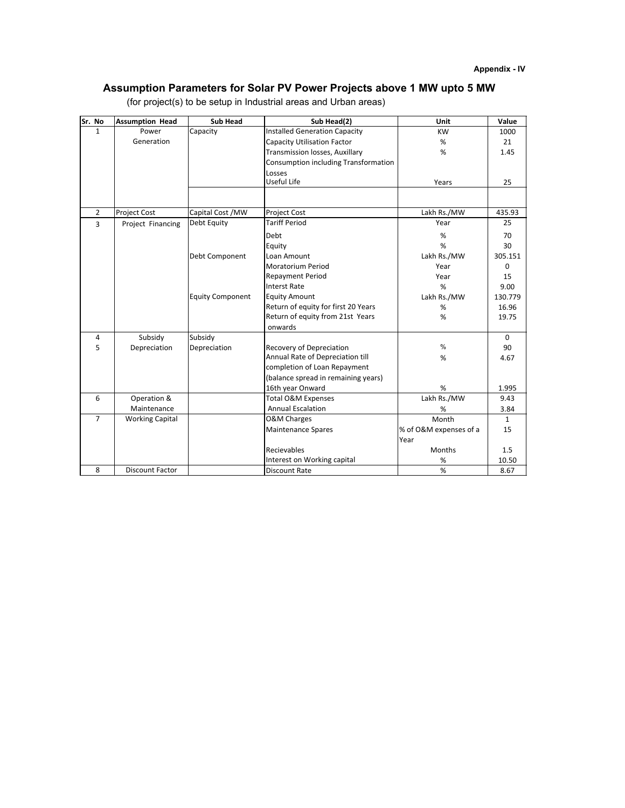### **Assumption Parameters for Solar PV Power Projects above 1 MW upto 5 MW**

| Sr. No         | <b>Assumption Head</b> | <b>Sub Head</b>         | $\overline{\mathsf{Sub}}$ Head(2)    | Unit                   | Value        |
|----------------|------------------------|-------------------------|--------------------------------------|------------------------|--------------|
| $\mathbf{1}$   | Power                  | Capacity                | <b>Installed Generation Capacity</b> | <b>KW</b>              | 1000         |
|                | Generation             |                         | <b>Capacity Utilisation Factor</b>   | %                      | 21           |
|                |                        |                         | Transmission losses, Auxillary       | %                      | 1.45         |
|                |                        |                         | Consumption including Transformation |                        |              |
|                |                        |                         | Losses                               |                        |              |
|                |                        |                         | Useful Life                          | Years                  | 25           |
|                |                        |                         |                                      |                        |              |
| $\overline{2}$ | <b>Project Cost</b>    | Capital Cost / MW       | Project Cost                         | Lakh Rs./MW            | 435.93       |
| 3              | Project Financing      | Debt Equity             | <b>Tariff Period</b>                 | Year                   | 25           |
|                |                        |                         | Debt                                 | %                      | 70           |
|                |                        |                         | Equity                               | %                      | 30           |
|                |                        | Debt Component          | Loan Amount                          | Lakh Rs./MW            | 305.151      |
|                |                        |                         | <b>Moratorium Period</b>             | Year                   | $\Omega$     |
|                |                        |                         | <b>Repayment Period</b>              | Year                   | 15           |
|                |                        |                         | <b>Interst Rate</b>                  | %                      | 9.00         |
|                |                        | <b>Equity Component</b> | <b>Equity Amount</b>                 | Lakh Rs./MW            | 130.779      |
|                |                        |                         | Return of equity for first 20 Years  | %                      | 16.96        |
|                |                        |                         | Return of equity from 21st Years     | %                      | 19.75        |
|                |                        |                         | onwards                              |                        |              |
| 4              | Subsidy                | Subsidy                 |                                      |                        | $\Omega$     |
| 5              | Depreciation           | Depreciation            | <b>Recovery of Depreciation</b>      | $\frac{0}{0}$          | 90           |
|                |                        |                         | Annual Rate of Depreciation till     | %                      | 4.67         |
|                |                        |                         | completion of Loan Repayment         |                        |              |
|                |                        |                         | (balance spread in remaining years)  |                        |              |
|                |                        |                         | 16th year Onward                     | %                      | 1.995        |
| 6              | Operation &            |                         | Total O&M Expenses                   | Lakh Rs./MW            | 9.43         |
|                | Maintenance            |                         | <b>Annual Escalation</b>             | %                      | 3.84         |
| $\overline{7}$ | <b>Working Capital</b> |                         | <b>O&amp;M Charges</b>               | Month                  | $\mathbf{1}$ |
|                |                        |                         | <b>Maintenance Spares</b>            | % of O&M expenses of a | 15           |
|                |                        |                         |                                      | Year                   |              |
|                |                        |                         | <b>Recievables</b>                   | Months                 | 1.5          |
|                |                        |                         | Interest on Working capital          | $\%$                   | 10.50        |
| 8              | <b>Discount Factor</b> |                         | <b>Discount Rate</b>                 | %                      | 8.67         |

(for project(s) to be setup in Industrial areas and Urban areas)